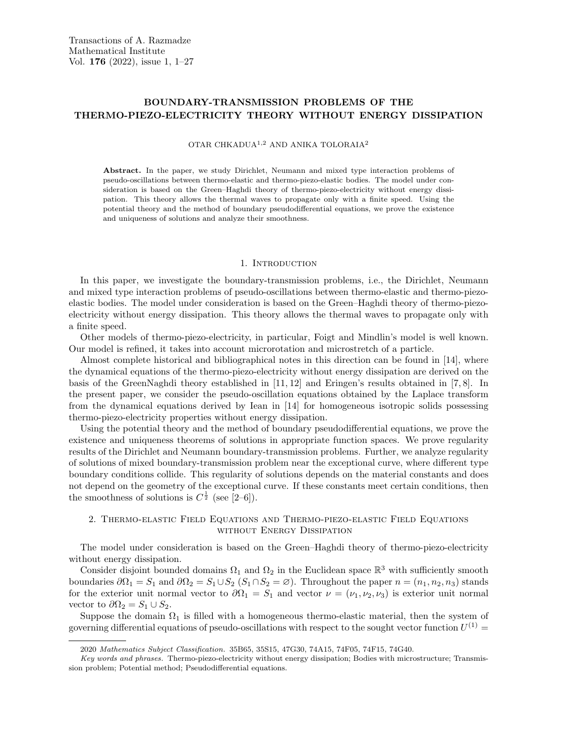# BOUNDARY-TRANSMISSION PROBLEMS OF THE THERMO-PIEZO-ELECTRICITY THEORY WITHOUT ENERGY DISSIPATION

#### OTAR CHKADUA1,<sup>2</sup> AND ANIKA TOLORAIA<sup>2</sup>

Abstract. In the paper, we study Dirichlet, Neumann and mixed type interaction problems of pseudo-oscillations between thermo-elastic and thermo-piezo-elastic bodies. The model under consideration is based on the Green–Haghdi theory of thermo-piezo-electricity without energy dissipation. This theory allows the thermal waves to propagate only with a finite speed. Using the potential theory and the method of boundary pseudodifferential equations, we prove the existence and uniqueness of solutions and analyze their smoothness.

#### 1. INTRODUCTION

In this paper, we investigate the boundary-transmission problems, i.e., the Dirichlet, Neumann and mixed type interaction problems of pseudo-oscillations between thermo-elastic and thermo-piezoelastic bodies. The model under consideration is based on the Green–Haghdi theory of thermo-piezoelectricity without energy dissipation. This theory allows the thermal waves to propagate only with a finite speed.

Other models of thermo-piezo-electricity, in particular, Foigt and Mindlin's model is well known. Our model is refined, it takes into account microrotation and microstretch of a particle.

Almost complete historical and bibliographical notes in this direction can be found in [14], where the dynamical equations of the thermo-piezo-electricity without energy dissipation are derived on the basis of the GreenNaghdi theory established in [11, 12] and Eringen's results obtained in [7, 8]. In the present paper, we consider the pseudo-oscillation equations obtained by the Laplace transform from the dynamical equations derived by Iean in [14] for homogeneous isotropic solids possessing thermo-piezo-electricity properties without energy dissipation.

Using the potential theory and the method of boundary pseudodifferential equations, we prove the existence and uniqueness theorems of solutions in appropriate function spaces. We prove regularity results of the Dirichlet and Neumann boundary-transmission problems. Further, we analyze regularity of solutions of mixed boundary-transmission problem near the exceptional curve, where different type boundary conditions collide. This regularity of solutions depends on the material constants and does not depend on the geometry of the exceptional curve. If these constants meet certain conditions, then the smoothness of solutions is  $C^{\frac{1}{2}}$  (see [2–6]).

# 2. Thermo-elastic Field Equations and Thermo-piezo-elastic Field Equations WITHOUT ENERGY DISSIPATION

The model under consideration is based on the Green–Haghdi theory of thermo-piezo-electricity without energy dissipation.

Consider disjoint bounded domains  $\Omega_1$  and  $\Omega_2$  in the Euclidean space  $\mathbb{R}^3$  with sufficiently smooth boundaries  $\partial\Omega_1 = S_1$  and  $\partial\Omega_2 = S_1 \cup S_2$   $(S_1 \cap S_2 = \emptyset)$ . Throughout the paper  $n = (n_1, n_2, n_3)$  stands for the exterior unit normal vector to  $\partial\Omega_1 = S_1$  and vector  $\nu = (\nu_1, \nu_2, \nu_3)$  is exterior unit normal vector to  $\partial\Omega_2 = S_1 \cup S_2$ .

Suppose the domain  $\Omega_1$  is filled with a homogeneous thermo-elastic material, then the system of governing differential equations of pseudo-oscillations with respect to the sought vector function  $U^{(1)}$  =

<sup>2020</sup> Mathematics Subject Classification. 35B65, 35S15, 47G30, 74A15, 74F05, 74F15, 74G40.

Key words and phrases. Thermo-piezo-electricity without energy dissipation; Bodies with microstructure; Transmission problem; Potential method; Pseudodifferential equations.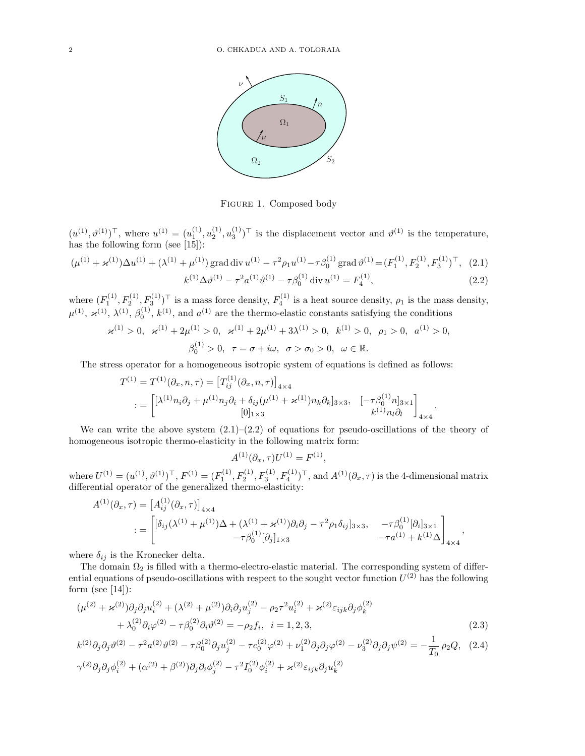

Figure 1. Composed body Figure 1. Composed body

 $(1)$ ,  $(1)$ ,  $(1)$  $(h^{(1)})^{\top}$ , where  $u^{(1)} = (u_1^{(1)}, u_2^{(1)})$  $\pm$  following form (see [15]):  $(u^{(1)}, \vartheta^{(1)})^{\top}$ , where  $u^{(1)} = (u_1^{(1)}, u_2^{(1)}, u_3^{(1)})^{\top}$  is the displacement vector and  $\vartheta^{(1)}$  is the temperature, has the following form (see [15]):

$$
(\mu^{(1)} + \varkappa^{(1)})\Delta u^{(1)} + (\lambda^{(1)} + \mu^{(1)}) \operatorname{grad} \operatorname{div} u^{(1)} - \tau^2 \rho_1 u^{(1)} - \tau \beta_0^{(1)} \operatorname{grad} \vartheta^{(1)} = (F_1^{(1)}, F_2^{(1)}, F_3^{(1)})^\top, (2.1)
$$

$$
k^{(1)} \Delta \vartheta^{(1)} - \tau^2 a^{(1)} \vartheta^{(1)} - \tau \beta_0^{(1)} \operatorname{div} u^{(1)} = F_4^{(1)},
$$
\n(2.2)

 $\mathcal{L}_{\mathbf{C}}(1)$   $\mathbf{C}(1)$ ,  $\mathbf{C}(1)$ ,  $\mathbf{C}(1)$  are the constants satisfying the conditions satisfying the conditions satisfying the conditions of  $\mathbf{C}(1)$  and  $\mathbf{C}(1)$  are the conditions satisfying the condition ( $\frac{1}{2}$ ,  $\frac{1}{2}$ ) is a mass force density,  $\frac{1}{4}$  is a near solute density,  $p_1$  is and  $p_2$ where  $(F_1^{(1)}, F_2^{(1)}, F_3^{(1)})^{\top}$  is a mass force density,  $F_4^{(1)}$  is a heat source density,  $\rho_1$  is the mass density,  $\mu^{(1)}, \n\t\boldsymbol{\varkappa}^{(1)}, \lambda^{(1)}, \beta_0^{(1)}, k^{(1)}, \n\t\text{and } a^{(1)}$  are the thermo-elastic constants satisfying the conditions

$$
\varkappa^{(1)} > 0, \quad \varkappa^{(1)} + 2\mu^{(1)} > 0, \quad \varkappa^{(1)} + 2\mu^{(1)} + 3\lambda^{(1)} > 0, \quad k^{(1)} > 0, \quad \rho_1 > 0, \quad a^{(1)} > 0,
$$
  

$$
\beta_0^{(1)} > 0, \quad \tau = \sigma + i\omega, \quad \sigma > \sigma_0 > 0, \quad \omega \in \mathbb{R}.
$$

The stress operator for a homogeneous isotropic system of equations is defined as follows:<br> $\hat{a}$ 

$$
T^{(1)} = T^{(1)}(\partial_x, n, \tau) = [T_{ij}^{(1)}(\partial_x, n, \tau)]_{4 \times 4}
$$
  

$$
:= \begin{bmatrix} [\lambda^{(1)}n_i\partial_j + \mu^{(1)}n_j\partial_i + \delta_{ij}(\mu^{(1)} + \varkappa^{(1)})n_k\partial_k]_{3 \times 3}, & [-\tau\beta_0^{(1)}n]_{3 \times 1} \\ [0]_{1 \times 3} & k^{(1)}n_i\partial_i \end{bmatrix}_{4 \times 4}.
$$

We can write the above system  $(2.1)$ – $(2.2)$  of equations for pseudo-oscillations of the theory of homogeneous isotropic thermo-elasticity in the following matrix form:

$$
A^{(1)}(\partial_x, \tau)U^{(1)} = F^{(1)},
$$

 $A^{(4)}(\sigma_x, \tau)U^{(4)} = F^{(4)},$ <br>  $B^{(1)} = (F_1^{(1)}, F_2^{(1)}, F_3^{(1)}, F_4^{(1)})^\top$ , and  $A^{(1)}(\partial_x, \tau)$  is the 4-dim ermo-elasticity:  $\overline{a}$ where  $U^{(1)} = (u^{(1)}, \vartheta^{(1)})^\top$ ,  $F^{(1)} = (F_1^{(1)}, F_2^{(1)}, F_3^{(1)}, F_4^{(1)})^\top$ , and  $A^{(1)}(\partial_x, \tau)$  is the 4-dimensional matrix differential operator of the generalized thermo-elasticity:

$$
A^{(1)}(\partial_x, \tau) = [A_{ij}^{(1)}(\partial_x, \tau)]_{4 \times 4}
$$
  
:= 
$$
\begin{bmatrix} [\delta_{ij}(\lambda^{(1)} + \mu^{(1)})\Delta + (\lambda^{(1)} + \varkappa^{(1)})\partial_i\partial_j - \tau^2\rho_1\delta_{ij}]_{3 \times 3}, & -\tau\beta_0^{(1)}[\partial_i]_{3 \times 1} \\ -\tau\beta_0^{(1)}[\partial_j]_{1 \times 3} & -\tau a^{(1)} + k^{(1)}\Delta \end{bmatrix}_{4 \times 4},
$$

where  $\delta_{ij}$  is the Kronecker delta.

 $b_2$  is filled with a thermo-electro-elastic material. The corresponding system of d  $\frac{1}{2}$  form (see [14]): ations of pseudo-oscillations with respect to the sought vector function  $U^{(2)}$  has the follo [14]). The domain  $\Omega_2$  is filled with a thermo-electro-elastic material. The corresponding system of differential equations of pseudo-oscillations with respect to the sought vector function  $U^{(2)}$  has the following

$$
(\mu^{(2)} + \varkappa^{(2)})\partial_j \partial_j u_i^{(2)} + (\lambda^{(2)} + \mu^{(2)})\partial_i \partial_j u_j^{(2)} - \rho_2 \tau^2 u_i^{(2)} + \varkappa^{(2)} \varepsilon_{ijk} \partial_j \phi_k^{(2)} + \lambda_0^{(2)} \partial_i \varphi^{(2)} - \tau \beta_0^{(2)} \partial_i \vartheta^{(2)} = -\rho_2 f_i, \quad i = 1, 2, 3,
$$
\n(2.3)

$$
k^{(2)}\partial_j \partial_j \vartheta^{(2)} - \tau^2 a^{(2)} \vartheta^{(2)} - \tau \beta_0^{(2)} \partial_j u_j^{(2)} - \tau c_0^{(2)} \varphi^{(2)} + \nu_1^{(2)} \partial_j \partial_j \varphi^{(2)} - \nu_3^{(2)} \partial_j \partial_j \psi^{(2)} = -\frac{1}{T_0} \rho_2 Q, \quad (2.4)
$$
  

$$
\gamma^{(2)} \partial_j \partial_j \varphi_i^{(2)} + (\alpha^{(2)} + \beta^{(2)}) \partial_j \partial_i \varphi_j^{(2)} - \tau^2 I_0^{(2)} \varphi_i^{(2)} + \varkappa^{(2)} \varepsilon_{ijk} \partial_j u_k^{(2)}
$$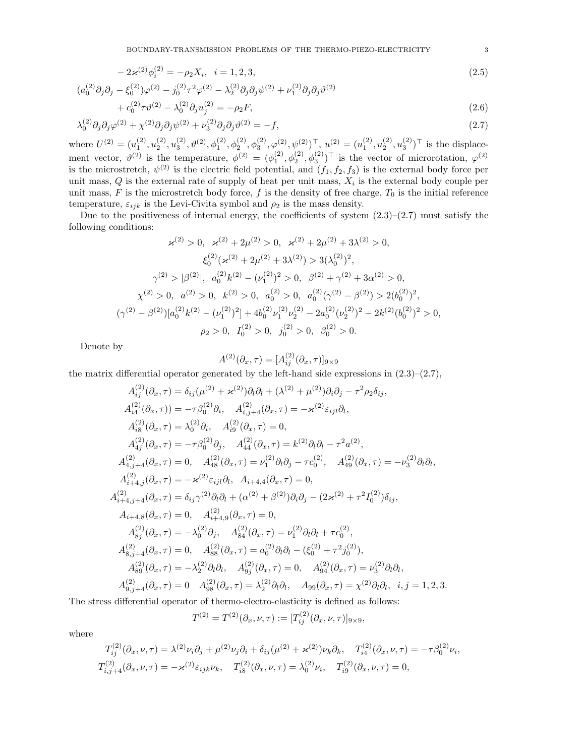BOUNDARY-TRANSMISSION PROBLEMS OF THE THERMO-PIEZO-ELECTRICITY 3

$$
-2\varkappa^{(2)}\phi_i^{(2)} = -\rho_2 X_i, \quad i = 1, 2, 3,
$$
\n<sup>(2.5)</sup>

$$
(a_0^{(2)}\partial_j \partial_j - \xi_0^{(2)})\varphi^{(2)} - j_0^{(2)}\tau^2 \varphi^{(2)} - \lambda_2^{(2)}\partial_j \partial_j \psi^{(2)} + \nu_1^{(2)}\partial_j \partial_j \psi^{(2)}
$$
\n
$$
+ \varepsilon^{(2)}\tau^{(2)} - \lambda_2^{(2)}\tau^{(2)} - \varepsilon_2 F
$$
\n(3.6)

$$
+c_0^{(2)}\tau\vartheta^{(2)} - \lambda_0^{(2)}\partial_j u_j^{(2)} = -\rho_2 F,\tag{2.6}
$$

$$
\lambda_0^{(2)} \partial_j \partial_j \varphi^{(2)} + \chi^{(2)} \partial_j \partial_j \psi^{(2)} + \nu_3^{(2)} \partial_j \partial_j \vartheta^{(2)} = -f,
$$
\nwhere  $U^{(2)} = (u_1^{(2)}, u_2^{(2)}, u_3^{(2)}, \vartheta^{(2)}, \phi_1^{(2)}, \phi_2^{(2)}, \phi_3^{(2)}, \varphi^{(2)}, \psi^{(2)})^\top$ ,  $u^{(2)} = (u_1^{(2)}, u_2^{(2)}, u_3^{(2)})^\top$  is the displace-

ment vector,  $\vartheta^{(2)}$  is the temperature,  $\phi^{(2)} = (\phi_1^{(2)}, \phi_2^{(2)}, \phi_3^{(2)})^\top$  is the vector of microrotation,  $\varphi^{(2)}$ is the microstretch,  $\psi^{(2)}$  is the electric field potential, and  $(f_1, f_2, f_3)$  is the external body force per unit mass,  $Q$  is the external rate of supply of heat per unit mass,  $X_i$  is the external body couple per unit mass,  $F$  is the microstretch body force,  $f$  is the density of free charge,  $T_0$  is the initial reference temperature,  $\varepsilon_{ijk}$  is the Levi-Civita symbol and  $\rho_2$  is the mass density.

Due to the positiveness of internal energy, the coefficients of system  $(2.3)$ – $(2.7)$  must satisfy the following conditions:

$$
\varkappa^{(2)} > 0, \quad \varkappa^{(2)} + 2\mu^{(2)} > 0, \quad \varkappa^{(2)} + 2\mu^{(2)} + 3\lambda^{(2)} > 0,
$$
\n
$$
\xi_0^{(2)}(\varkappa^{(2)} + 2\mu^{(2)} + 3\lambda^{(2)}) > 3(\lambda_0^{(2)})^2,
$$
\n
$$
\gamma^{(2)} > |\beta^{(2)}|, \quad a_0^{(2)}k^{(2)} - (\nu_1^{(2)})^2 > 0, \quad \beta^{(2)} + \gamma^{(2)} + 3\alpha^{(2)} > 0,
$$
\n
$$
\chi^{(2)} > 0, \quad a^{(2)} > 0, \quad k^{(2)} > 0, \quad a_0^{(2)} > 0, \quad a_0^{(2)}(\gamma^{(2)} - \beta^{(2)}) > 2(b_0^{(2)})^2,
$$
\n
$$
(\gamma^{(2)} - \beta^{(2)})[a_0^{(2)}k^{(2)} - (\nu_1^{(2)})^2] + 4b_0^{(2)}\nu_1^{(2)}\nu_2^{(2)} - 2a_0^{(2)}(\nu_2^{(2)})^2 - 2k^{(2)}(b_0^{(2)})^2 > 0,
$$
\n
$$
\rho_2 > 0, \quad I_0^{(2)} > 0, \quad j_0^{(2)} > 0, \quad \beta_0^{(2)} > 0.
$$

Denote by

$$
A^{(2)}(\partial_x, \tau) = [A_{ij}^{(2)}(\partial_x, \tau)]_{9 \times 9}
$$

the matrix differential operator generated by the left-hand side expressions in  $(2.3)$ – $(2.7)$ ,

$$
A_{ij}^{(2)}(\partial_x, \tau) = \delta_{ij}(\mu^{(2)} + \varkappa^{(2)})\partial_i\partial_l + (\lambda^{(2)} + \mu^{(2)})\partial_i\partial_j - \tau^2 \rho_2 \delta_{ij},
$$
  
\n
$$
A_{ik}^{(2)}(\partial_x, \tau) = -\tau \beta_0^{(2)}\partial_i, \quad A_{i,j+4}^{(2)}(\partial_x, \tau) = -\varkappa^{(2)} \varepsilon_{ijl} \partial_l,
$$
  
\n
$$
A_{ik}^{(2)}(\partial_x, \tau) = \lambda_0^{(2)}\partial_i, \quad A_{ik}^{(2)}(\partial_x, \tau) = 0,
$$
  
\n
$$
A_{4j}^{(2)}(\partial_x, \tau) = -\tau \beta_0^{(2)}\partial_j, \quad A_{44}^{(2)}(\partial_x, \tau) = k^{(2)}\partial_l\partial_l - \tau^2 a^{(2)},
$$
  
\n
$$
A_{4,j+4}^{(2)}(\partial_x, \tau) = 0, \quad A_{48}^{(2)}(\partial_x, \tau) = \nu_1^{(2)}\partial_l\partial_j - \tau c_0^{(2)}, \quad A_{49}^{(2)}(\partial_x, \tau) = -\nu_3^{(2)}\partial_l\partial_l,
$$
  
\n
$$
A_{i+4,j}^{(2)}(\partial_x, \tau) = -\varkappa^{(2)} \varepsilon_{ijl} \partial_l, \quad A_{i+4,4}(\partial_x, \tau) = 0,
$$
  
\n
$$
A_{i+4,5}^{(2)}(\partial_x, \tau) = \delta_{ij} \gamma^{(2)}\partial_l\partial_l + (\alpha^{(2)} + \beta^{(2)})\partial_i\partial_j - (2\varkappa^{(2)} + \tau^2 I_0^{(2)})\delta_{ij},
$$
  
\n
$$
A_{i+4,8}(\partial_x, \tau) = 0, \quad A_{i+4,9}^{(2)}(\partial_x, \tau) = 0,
$$
  
\n
$$
A_{8j}^{(2)}(\partial_x, \tau) = -\lambda_0^{(2)}\partial_j, \quad A_{84}^{(2)}(\partial_x, \tau) = \nu_1^{(2)}\partial_l\partial_l + \tau c_0^{(2)},
$$
  
\n
$$
A_{8j+4}^{(2)}(\partial_x, \tau) = 0, \
$$

The stress differential operator of thermo-electro-elasticity is defined as follows:

$$
T^{(2)} = T^{(2)}(\partial_x, \nu, \tau) := [T^{(2)}_{ij}(\partial_x, \nu, \tau)]_{9 \times 9},
$$

where

$$
T_{ij}^{(2)}(\partial_x, \nu, \tau) = \lambda^{(2)}\nu_i \partial_j + \mu^{(2)}\nu_j \partial_i + \delta_{ij}(\mu^{(2)} + \varkappa^{(2)})\nu_k \partial_k, \quad T_{i4}^{(2)}(\partial_x, \nu, \tau) = -\tau \beta_0^{(2)}\nu_i,
$$
  

$$
T_{i,j+4}^{(2)}(\partial_x, \nu, \tau) = -\varkappa^{(2)}\varepsilon_{ijk}\nu_k, \quad T_{i8}^{(2)}(\partial_x, \nu, \tau) = \lambda_0^{(2)}\nu_i, \quad T_{i9}^{(2)}(\partial_x, \nu, \tau) = 0,
$$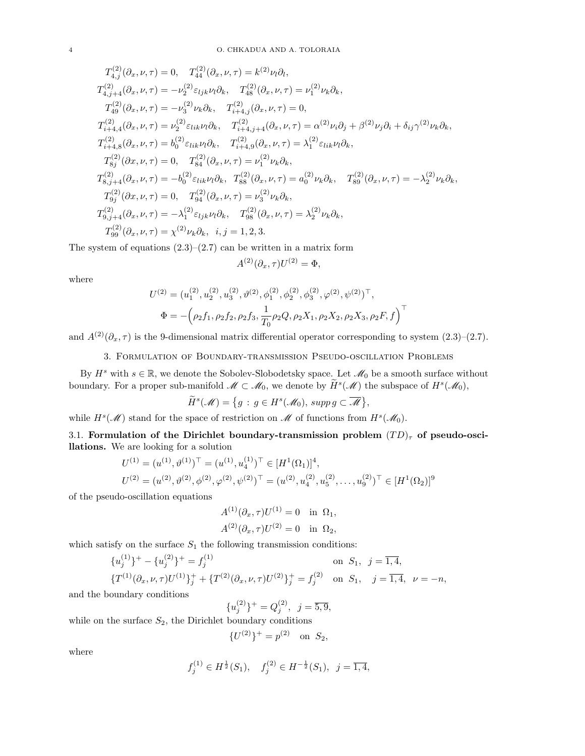$$
T_{4,j}^{(2)}(\partial_x, \nu, \tau) = 0, \quad T_{44}^{(2)}(\partial_x, \nu, \tau) = k^{(2)}\nu_l \partial_l,
$$
  
\n
$$
T_{4,j+4}^{(2)}(\partial_x, \nu, \tau) = -\nu_2^{(2)} \varepsilon_{ljk}\nu_l \partial_k, \quad T_{48}^{(2)}(\partial_x, \nu, \tau) = \nu_1^{(2)}\nu_k \partial_k,
$$
  
\n
$$
T_{49}^{(2)}(\partial_x, \nu, \tau) = -\nu_3^{(2)}\nu_k \partial_k, \quad T_{i+4,j}^{(2)}(\partial_x, \nu, \tau) = 0,
$$
  
\n
$$
T_{i+4,4}^{(2)}(\partial_x, \nu, \tau) = \nu_2^{(2)} \varepsilon_{lik}\nu_l \partial_k, \quad T_{i+4,j+4}^{(2)}(\partial_x, \nu, \tau) = \alpha^{(2)}\nu_i \partial_j + \beta^{(2)}\nu_j \partial_i + \delta_{ij} \gamma^{(2)}\nu_k \partial_k,
$$
  
\n
$$
T_{i+4,8}^{(2)}(\partial_x, \nu, \tau) = b_0^{(2)} \varepsilon_{lik}\nu_l \partial_k, \quad T_{i+4,9}^{(2)}(\partial_x, \nu, \tau) = \lambda_1^{(2)} \varepsilon_{lik}\nu_l \partial_k,
$$
  
\n
$$
T_{8j}^{(2)}(\partial_x, \nu, \tau) = 0, \quad T_{84}^{(2)}(\partial_x, \nu, \tau) = \nu_1^{(2)}\nu_k \partial_k,
$$
  
\n
$$
T_{8,j+4}^{(2)}(\partial_x, \nu, \tau) = -b_0^{(2)} \varepsilon_{lik}\nu_l \partial_k, \quad T_{88}^{(2)}(\partial_x, \nu, \tau) = a_0^{(2)}\nu_k \partial_k, \quad T_{89}^{(2)}(\partial_x, \nu, \tau) = -\lambda_2^{(2)}\nu_k \partial_k,
$$
  
\n
$$
T_{9j}^{(2)}(\partial_x, \nu, \tau) = 0, \quad T_{94}^{(2)}(\partial_x, \nu, \tau) = \nu_3^{(2)}\nu_k \partial_k,
$$
  
\n
$$
T_{99}^{(2)}(\partial_x, \nu, \tau) = -\lambda_1
$$

The system of equations  $(2.3)$ – $(2.7)$  can be written in a matrix form

$$
A^{(2)}(\partial_x, \tau)U^{(2)} = \Phi,
$$

where

$$
U^{(2)} = (u_1^{(2)}, u_2^{(2)}, u_3^{(2)}, \vartheta^{(2)}, \phi_1^{(2)}, \phi_2^{(2)}, \phi_3^{(2)}, \varphi^{(2)}, \psi^{(2)})^\top,
$$
  

$$
\Phi = -(\rho_2 f_1, \rho_2 f_2, \rho_2 f_3, \frac{1}{T_0} \rho_2 Q, \rho_2 X_1, \rho_2 X_2, \rho_2 X_3, \rho_2 F, f)
$$

and  $A^{(2)}(\partial_x, \tau)$  is the 9-dimensional matrix differential operator corresponding to system  $(2.3)$ – $(2.7)$ .

3. Formulation of Boundary-transmission Pseudo-oscillation Problems

By  $H^s$  with  $s \in \mathbb{R}$ , we denote the Sobolev-Slobodetsky space. Let  $\mathcal{M}_0$  be a smooth surface without boundary. For a proper sub-manifold  $\mathcal{M} \subset \mathcal{M}_0$ , we denote by  $\tilde{H}^s(\mathcal{M})$  the subspace of  $H^s(\mathcal{M}_0)$ ,

$$
\widetilde{H}^s(\mathscr{M}) = \{ g : g \in H^s(\mathscr{M}_0), \, \text{supp } g \subset \overline{\mathscr{M}} \},
$$

while  $H^s(\mathcal{M})$  stand for the space of restriction on  $\mathcal M$  of functions from  $H^s(\mathcal{M}_0)$ .

3.1. Formulation of the Dirichlet boundary-transmission problem  $(TD)_{\tau}$  of pseudo-oscillations. We are looking for a solution

$$
U^{(1)} = (u^{(1)}, \vartheta^{(1)})^\top = (u^{(1)}, u_4^{(1)})^\top \in [H^1(\Omega_1)]^4,
$$
  

$$
U^{(2)} = (u^{(2)}, \vartheta^{(2)}, \varphi^{(2)}, \varphi^{(2)}, \psi^{(2)})^\top = (u^{(2)}, u_4^{(2)}, u_5^{(2)}, \dots, u_9^{(2)})^\top \in [H^1(\Omega_2)]^9
$$

of the pseudo-oscillation equations

$$
A^{(1)}(\partial_x, \tau)U^{(1)} = 0 \text{ in } \Omega_1,
$$
  

$$
A^{(2)}(\partial_x, \tau)U^{(2)} = 0 \text{ in } \Omega_2,
$$

which satisfy on the surface  $S_1$  the following transmission conditions:

 $\{$ 

$$
\{u_j^{(1)}\}^+ - \{u_j^{(2)}\}^+ = f_j^{(1)} \qquad \text{on } S_1, \ j = \overline{1, 4},
$$
  

$$
\{T^{(1)}(\partial_x, \nu, \tau)U^{(1)}\}_j^+ + \{T^{(2)}(\partial_x, \nu, \tau)U^{(2)}\}_j^+ = f_j^{(2)} \qquad \text{on } S_1, \ j = \overline{1, 4}, \ \nu = -n,
$$

and the boundary conditions

$$
u_j^{(2)}\}^+ = Q_j^{(2)}, \ \ j = \overline{5, 9},
$$

while on the surface  $S_2$ , the Dirichlet boundary conditions

$$
{U^{(2)}}^+ = p^{(2)} \quad \text{on } S_2,
$$

where

$$
f_j^{(1)} \in H^{\frac{1}{2}}(S_1), \quad f_j^{(2)} \in H^{-\frac{1}{2}}(S_1), \ \ j = \overline{1, 4},
$$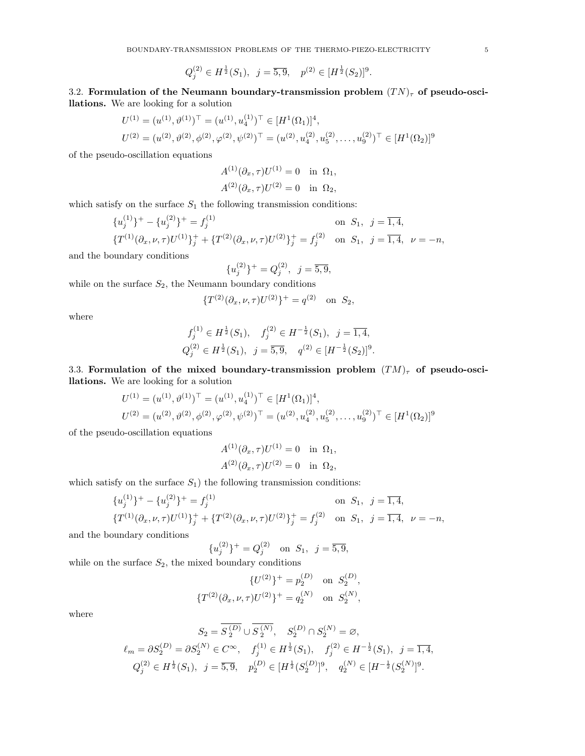$$
Q_j^{(2)} \in H^{\frac{1}{2}}(S_1), \ \ j = \overline{5, 9}, \ \ p^{(2)} \in [H^{\frac{1}{2}}(S_2)]^9.
$$

3.2. Formulation of the Neumann boundary-transmission problem  $(T N)_{\tau}$  of pseudo-oscillations. We are looking for a solution

$$
U^{(1)} = (u^{(1)}, \vartheta^{(1)})^\top = (u^{(1)}, u_4^{(1)})^\top \in [H^1(\Omega_1)]^4,
$$
  

$$
U^{(2)} = (u^{(2)}, \vartheta^{(2)}, \varphi^{(2)}, \varphi^{(2)}, \psi^{(2)})^\top = (u^{(2)}, u_4^{(2)}, u_5^{(2)}, \dots, u_9^{(2)})^\top \in [H^1(\Omega_2)]^9
$$

of the pseudo-oscillation equations

$$
A^{(1)}(\partial_x, \tau)U^{(1)} = 0 \text{ in } \Omega_1,
$$
  

$$
A^{(2)}(\partial_x, \tau)U^{(2)} = 0 \text{ in } \Omega_2,
$$

which satisfy on the surface  $S_1$  the following transmission conditions:

$$
\{u_j^{(1)}\}^+ - \{u_j^{(2)}\}^+ = f_j^{(1)} \qquad \text{on } S_1, \ j = \overline{1, 4},
$$
  

$$
\{T^{(1)}(\partial_x, \nu, \tau)U^{(1)}\}_j^+ + \{T^{(2)}(\partial_x, \nu, \tau)U^{(2)}\}_j^+ = f_j^{(2)} \qquad \text{on } S_1, \ j = \overline{1, 4}, \ \nu = -n,
$$

and the boundary conditions

$$
\{u_j^{(2)}\}^+ = Q_j^{(2)}, \ \ j = \overline{5, 9},
$$

while on the surface  $S_2$ , the Neumann boundary conditions

$$
\{T^{(2)}(\partial_x, \nu, \tau)U^{(2)}\}^+ = q^{(2)} \text{ on } S_2,
$$

where

$$
f_j^{(1)} \in H^{\frac{1}{2}}(S_1), \quad f_j^{(2)} \in H^{-\frac{1}{2}}(S_1), \quad j = \overline{1, 4},
$$
  

$$
Q_j^{(2)} \in H^{\frac{1}{2}}(S_1), \quad j = \overline{5, 9}, \quad q^{(2)} \in [H^{-\frac{1}{2}}(S_2)]^9.
$$

3.3. Formulation of the mixed boundary-transmission problem  $(TM)_{\tau}$  of pseudo-oscillations. We are looking for a solution

$$
U^{(1)} = (u^{(1)}, \vartheta^{(1)})^\top = (u^{(1)}, u_4^{(1)})^\top \in [H^1(\Omega_1)]^4,
$$
  

$$
U^{(2)} = (u^{(2)}, \vartheta^{(2)}, \varphi^{(2)}, \varphi^{(2)}, \psi^{(2)})^\top = (u^{(2)}, u_4^{(2)}, u_5^{(2)}, \dots, u_9^{(2)})^\top \in [H^1(\Omega_2)]^9
$$

of the pseudo-oscillation equations

$$
A^{(1)}(\partial_x, \tau)U^{(1)} = 0 \text{ in } \Omega_1,
$$
  

$$
A^{(2)}(\partial_x, \tau)U^{(2)} = 0 \text{ in } \Omega_2,
$$

which satisfy on the surface  $S_1$ ) the following transmission conditions:

$$
{u_j^{(1)}}^+ - {u_j^{(2)}}^+ = f_j^{(1)}
$$
 on  $S_1$ ,  $j = \overline{1, 4}$ ,  
\n
$$
{T^{(1)}(\partial_x, \nu, \tau)U^{(1)}}^+_{j} + {T^{(2)}(\partial_x, \nu, \tau)U^{(2)}}^+_{j} = f_j^{(2)}
$$
 on  $S_1$ ,  $j = \overline{1, 4}$ ,  $\nu = -n$ ,

and the boundary conditions

$$
{u_j^{(2)}}^+ = Q_j^{(2)} \quad \text{on } S_1, \ \ j = \overline{5, 9},
$$

while on the surface  $S_2$ , the mixed boundary conditions

$$
{U^{(2)}\}^+ = p_2^{(D)} \text{ on } S_2^{(D)},
$$
  

$$
{T^{(2)}(\partial_x, \nu, \tau)U^{(2)}\}^+ = q_2^{(N)} \text{ on } S_2^{(N)},
$$

where

$$
S_2 = S_2^{(D)} \cup S_2^{(N)}, \quad S_2^{(D)} \cap S_2^{(N)} = \varnothing,
$$
  
\n
$$
\ell_m = \partial S_2^{(D)} = \partial S_2^{(N)} \in C^{\infty}, \quad f_j^{(1)} \in H^{\frac{1}{2}}(S_1), \quad f_j^{(2)} \in H^{-\frac{1}{2}}(S_1), \quad j = \overline{1, 4},
$$
  
\n
$$
Q_j^{(2)} \in H^{\frac{1}{2}}(S_1), \quad j = \overline{5, 9}, \quad p_2^{(D)} \in [H^{\frac{1}{2}}(S_2^{(D)})]^9, \quad q_2^{(N)} \in [H^{-\frac{1}{2}}(S_2^{(N)})]^9.
$$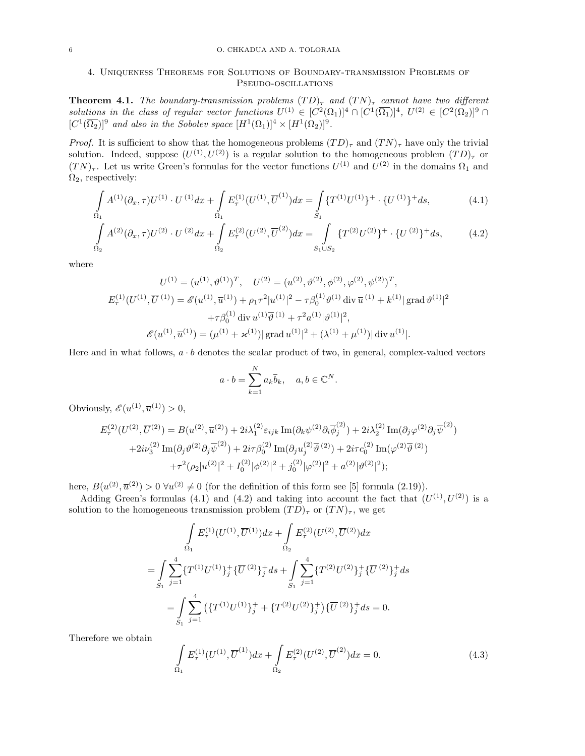# 4. Uniqueness Theorems for Solutions of Boundary-transmission Problems of Pseudo-oscillations

**Theorem 4.1.** The boundary-transmission problems  $(TD)_{\tau}$  and  $(TN)_{\tau}$  cannot have two different solutions in the class of regular vector functions  $U^{(1)} \in [C^2(\Omega_1)]^4 \cap [C^1(\overline{\Omega_1})]^4$ ,  $U^{(2)} \in [C^2(\Omega_2)]^9 \cap$  $[C^1(\overline{\Omega_2})]^9$  and also in the Sobolev space  $[H^1(\Omega_1)]^4 \times [H^1(\Omega_2)]^9$ .

*Proof.* It is sufficient to show that the homogeneous problems  $(TD)_{\tau}$  and  $(TN)_{\tau}$  have only the trivial solution. Indeed, suppose  $(U^{(1)}, U^{(2)})$  is a regular solution to the homogeneous problem  $(TD)_{\tau}$  or  $(TN)_{\tau}$ . Let us write Green's formulas for the vector functions  $U^{(1)}$  and  $U^{(2)}$  in the domains  $\Omega_1$  and  $\Omega_2$ , respectively:

$$
\int_{\Omega_1} A^{(1)}(\partial_x, \tau) U^{(1)} \cdot U^{(1)} dx + \int_{\Omega_1} E^{(1)}_{\tau} (U^{(1)}, \overline{U}^{(1)}) dx = \int_{S_1} \{T^{(1)} U^{(1)}\}^+ \cdot \{U^{(1)}\}^+ ds,
$$
\n(4.1)

$$
\int_{\Omega_2} A^{(2)}(\partial_x, \tau) U^{(2)} \cdot U^{(2)} dx + \int_{\Omega_2} E^{(2)}_{\tau} (U^{(2)}, \overline{U}^{(2)}) dx = \int_{S_1 \cup S_2} \{T^{(2)} U^{(2)}\}^+ \cdot \{U^{(2)}\}^+ ds,\tag{4.2}
$$

where

$$
U^{(1)} = (u^{(1)}, \vartheta^{(1)})^T, \quad U^{(2)} = (u^{(2)}, \vartheta^{(2)}, \varphi^{(2)}, \varphi^{(2)})^T,
$$
  
\n
$$
E^{(1)}_{\tau}(U^{(1)}, \overline{U}^{(1)}) = \mathscr{E}(u^{(1)}, \overline{u}^{(1)}) + \rho_1 \tau^2 |u^{(1)}|^2 - \tau \beta_0^{(1)} \vartheta^{(1)} \operatorname{div} \overline{u}^{(1)} + k^{(1)} |\operatorname{grad} \vartheta^{(1)}|^2
$$
  
\n
$$
+ \tau \beta_0^{(1)} \operatorname{div} u^{(1)} \overline{\vartheta}^{(1)} + \tau^2 a^{(1)} |\vartheta^{(1)}|^2,
$$
  
\n
$$
\mathscr{E}(u^{(1)}, \overline{u}^{(1)}) = (\mu^{(1)} + \varkappa^{(1)}) |\operatorname{grad} u^{(1)}|^2 + (\lambda^{(1)} + \mu^{(1)}) |\operatorname{div} u^{(1)}|.
$$

Here and in what follows,  $a \cdot b$  denotes the scalar product of two, in general, complex-valued vectors

$$
a \cdot b = \sum_{k=1}^{N} a_k \overline{b}_k, \quad a, b \in \mathbb{C}^N.
$$

Obviously,  $\mathscr{E}(u^{(1)}, \overline{u}^{(1)}) > 0$ ,

$$
E_{\tau}^{(2)}(U^{(2)}, \overline{U}^{(2)}) = B(u^{(2)}, \overline{u}^{(2)}) + 2i\lambda_1^{(2)} \varepsilon_{ijk} \operatorname{Im}(\partial_k \psi^{(2)} \partial_i \overline{\phi}_j^{(2)}) + 2i\lambda_2^{(2)} \operatorname{Im}(\partial_j \varphi^{(2)} \partial_j \overline{\psi}^{(2)}) + 2i\nu_3^{(2)} \operatorname{Im}(\partial_j \vartheta^{(2)} \partial_j \overline{\psi}^{(2)}) + 2i\tau \beta_0^{(2)} \operatorname{Im}(\partial_j u_j^{(2)} \overline{\vartheta}^{(2)}) + 2i\tau c_0^{(2)} \operatorname{Im}(\varphi^{(2)} \overline{\vartheta}^{(2)}) + \tau^2 (\rho_2 |u^{(2)}|^2 + I_0^{(2)} |\varphi^{(2)}|^2 + j_0^{(2)} |\varphi^{(2)}|^2 + a^{(2)} |\vartheta^{(2)}|^2);
$$

here,  $B(u^{(2)}, \overline{u}^{(2)}) > 0 \ \forall u^{(2)} \neq 0$  (for the definition of this form see [5] formula (2.19)).

Adding Green's formulas (4.1) and (4.2) and taking into account the fact that  $(U^{(1)}, U^{(2)})$  is a solution to the homogeneous transmission problem  $(TD)_{\tau}$  or  $(TN)_{\tau}$ , we get

$$
\int_{\Omega_1} E_{\tau}^{(1)}(U^{(1)}, \overline{U}^{(1)}) dx + \int_{\Omega_2} E_{\tau}^{(2)}(U^{(2)}, \overline{U}^{(2)}) dx
$$
\n
$$
= \int_{S_1} \sum_{j=1}^4 \{T^{(1)}U^{(1)}\}_j^+ \{\overline{U}^{(2)}\}_j^+ ds + \int_{S_1} \sum_{j=1}^4 \{T^{(2)}U^{(2)}\}_j^+ \{\overline{U}^{(2)}\}_j^+ ds
$$
\n
$$
= \int_{S_1} \sum_{j=1}^4 \{T^{(1)}U^{(1)}\}_j^+ + \{T^{(2)}U^{(2)}\}_j^+ \} \{\overline{U}^{(2)}\}_j^+ ds = 0.
$$

Therefore we obtain

$$
\int_{\Omega_1} E_{\tau}^{(1)}(U^{(1)}, \overline{U}^{(1)}) dx + \int_{\Omega_2} E_{\tau}^{(2)}(U^{(2)}, \overline{U}^{(2)}) dx = 0.
$$
\n(4.3)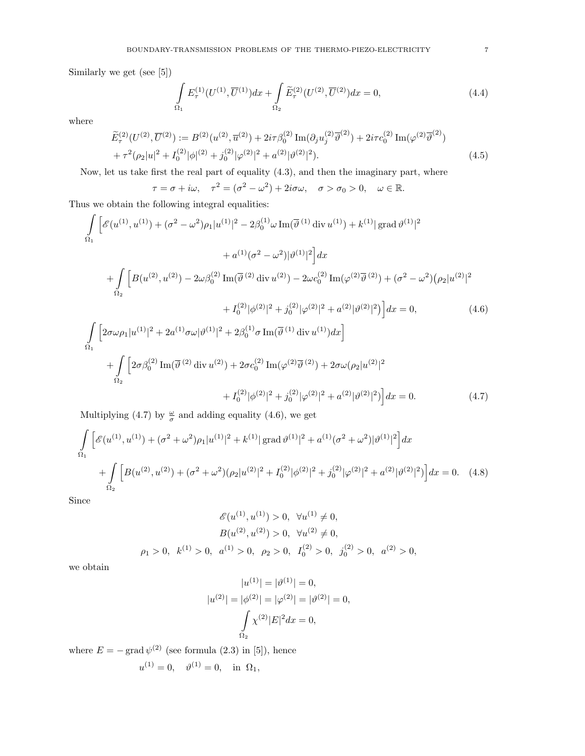Similarly we get (see [5])

$$
\int_{\Omega_1} E_{\tau}^{(1)}(U^{(1)}, \overline{U}^{(1)}) dx + \int_{\Omega_2} \widetilde{E}_{\tau}^{(2)}(U^{(2)}, \overline{U}^{(2)}) dx = 0,
$$
\n(4.4)

where

$$
\widetilde{E}_{\tau}^{(2)}(U^{(2)}, \overline{U}^{(2)}) := B^{(2)}(u^{(2)}, \overline{u}^{(2)}) + 2i\tau\beta_0^{(2)}\operatorname{Im}(\partial_j u_j^{(2)} \overline{\vartheta}^{(2)}) + 2i\tau c_0^{(2)}\operatorname{Im}(\varphi^{(2)} \overline{\vartheta}^{(2)}) \n+ \tau^2(\rho_2|u|^2 + I_0^{(2)}|\phi|^{(2)} + j_0^{(2)}|\varphi^{(2)}|^2 + a^{(2)}|\vartheta^{(2)}|^2).
$$
\n(4.5)

Now, let us take first the real part of equality (4.3), and then the imaginary part, where

 $\tau = \sigma + i\omega, \quad \tau^2 = (\sigma^2 - \omega^2) + 2i\sigma\omega, \quad \sigma > \sigma_0 > 0, \quad \omega \in \mathbb{R}.$ 

Thus we obtain the following integral equalities:

$$
\int_{\Omega_{1}} \left[ \mathcal{E}(u^{(1)}, u^{(1)}) + (\sigma^{2} - \omega^{2}) \rho_{1} |u^{(1)}|^{2} - 2\beta_{0}^{(1)} \omega \operatorname{Im}(\overline{\vartheta}^{(1)} \operatorname{div} u^{(1)}) + k^{(1)} |\operatorname{grad} \vartheta^{(1)}|^{2} \right. \\ \left. + \int_{\Omega_{2}} \left[ B(u^{(2)}, u^{(2)}) - 2\omega \beta_{0}^{(2)} \operatorname{Im}(\overline{\vartheta}^{(2)} \operatorname{div} u^{(2)}) - 2\omega c_{0}^{(2)} \operatorname{Im}(\varphi^{(2)} \overline{\vartheta}^{(2)}) + (\sigma^{2} - \omega^{2}) (\rho_{2} |u^{(2)}|^{2} \right. \\ \left. + I_{0}^{(2)} |\phi^{(2)}|^{2} + j_{0}^{(2)} |\varphi^{(2)}|^{2} + a^{(2)} |\vartheta^{(2)}|^{2} \right] dx = 0, \qquad (4.6)
$$
\n
$$
\int_{\Omega_{1}} \left[ 2\sigma \omega \rho_{1} |u^{(1)}|^{2} + 2a^{(1)} \sigma \omega |\vartheta^{(1)}|^{2} + 2\beta_{0}^{(1)} \sigma \operatorname{Im}(\overline{\vartheta}^{(1)} \operatorname{div} u^{(1)}) dx \right] + \int_{\Omega_{2}} \left[ 2\sigma \beta_{0}^{(2)} \operatorname{Im}(\overline{\vartheta}^{(2)} \operatorname{div} u^{(2)}) + 2\sigma c_{0}^{(2)} \operatorname{Im}(\varphi^{(2)} \overline{\vartheta}^{(2)}) + 2\sigma \omega (\rho_{2} |u^{(2)}|^{2} \right. \\ \left. + I_{0}^{(2)} |\varphi^{(2)}|^{2} + j_{0}^{(2)} |\varphi^{(2)}|^{2} + a^{(2)} |\vartheta^{(2)}|^{2} \right] dx = 0. \qquad (4.7)
$$

Multiplying (4.7) by  $\frac{\omega}{\sigma}$  and adding equality (4.6), we get

$$
\int_{\Omega_1} \left[ \mathcal{E}(u^{(1)}, u^{(1)}) + (\sigma^2 + \omega^2) \rho_1 |u^{(1)}|^2 + k^{(1)} |\text{grad}\,\vartheta^{(1)}|^2 + a^{(1)}(\sigma^2 + \omega^2) |\vartheta^{(1)}|^2 \right] dx
$$
  
+ 
$$
\int_{\Omega_2} \left[ B(u^{(2)}, u^{(2)}) + (\sigma^2 + \omega^2) (\rho_2 |u^{(2)}|^2 + I_0^{(2)} |\varphi^{(2)}|^2 + j_0^{(2)} |\varphi^{(2)}|^2 + a^{(2)} |\vartheta^{(2)}|^2) \right] dx = 0. \quad (4.8)
$$

Since

$$
\mathscr{E}(u^{(1)}, u^{(1)}) > 0, \quad \forall u^{(1)} \neq 0,
$$
  
\n
$$
B(u^{(2)}, u^{(2)}) > 0, \quad \forall u^{(2)} \neq 0,
$$
  
\n
$$
\rho_1 > 0, \quad k^{(1)} > 0, \quad a^{(1)} > 0, \quad \rho_2 > 0, \quad I_0^{(2)} > 0, \quad j_0^{(2)} > 0, \quad a^{(2)} > 0,
$$

we obtain

$$
|u^{(1)}| = |\vartheta^{(1)}| = 0,
$$
  

$$
|u^{(2)}| = |\phi^{(2)}| = |\varphi^{(2)}| = |\vartheta^{(2)}| = 0,
$$
  

$$
\int_{\Omega_2} \chi^{(2)} |E|^2 dx = 0,
$$

where  $E = -\text{grad}\,\psi^{(2)}$  (see formula (2.3) in [5]), hence  $u^{(1)} = 0$ ,  $\vartheta^{(1)} = 0$ , in  $\Omega_1$ ,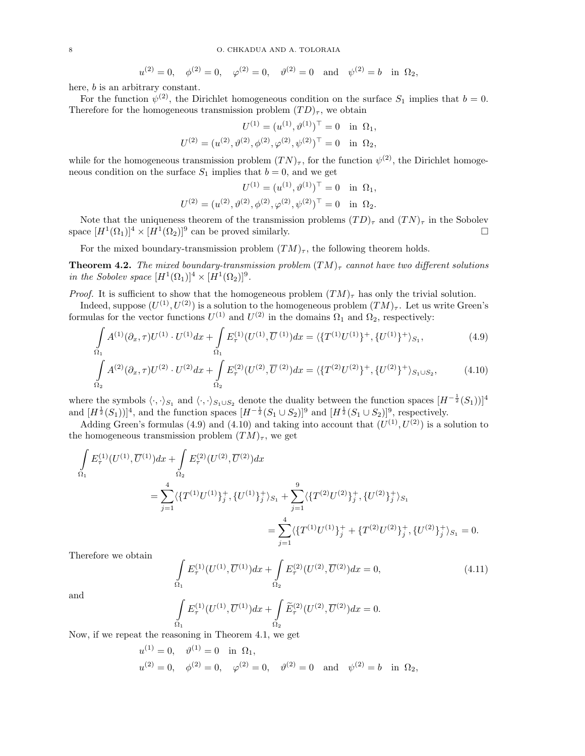$$
u^{(2)} = 0
$$
,  $\phi^{(2)} = 0$ ,  $\varphi^{(2)} = 0$ ,  $\vartheta^{(2)} = 0$  and  $\psi^{(2)} = b$  in  $\Omega_2$ ,

here, *b* is an arbitrary constant.

For the function  $\psi^{(2)}$ , the Dirichlet homogeneous condition on the surface  $S_1$  implies that  $b = 0$ . Therefore for the homogeneous transmission problem  $(TD)_{\tau}$ , we obtain

$$
U^{(1)} = (u^{(1)}, \vartheta^{(1)})^{\top} = 0 \text{ in } \Omega_1,
$$
  

$$
U^{(2)} = (u^{(2)}, \vartheta^{(2)}, \varphi^{(2)}, \varphi^{(2)}, \psi^{(2)})^{\top} = 0 \text{ in } \Omega_2,
$$

while for the homogeneous transmission problem  $(TN)_{\tau}$ , for the function  $\psi^{(2)}$ , the Dirichlet homogeneous condition on the surface  $S_1$  implies that  $b = 0$ , and we get

$$
U^{(1)} = (u^{(1)}, \vartheta^{(1)})^{\top} = 0 \text{ in } \Omega_1,
$$
  

$$
U^{(2)} = (u^{(2)}, \vartheta^{(2)}, \phi^{(2)}, \varphi^{(2)}, \psi^{(2)})^{\top} = 0 \text{ in } \Omega_2.
$$

Note that the uniqueness theorem of the transmission problems  $(TD)_{\tau}$  and  $(TN)_{\tau}$  in the Sobolev space  $[H^1(\Omega_1)]^4 \times [H^1(\Omega_2)]^9$  can be proved similarly.

For the mixed boundary-transmission problem  $(TM)_{\tau}$ , the following theorem holds.

**Theorem 4.2.** The mixed boundary-transmission problem  $(TM)$ <sub> $\tau$ </sub> cannot have two different solutions in the Sobolev space  $[H^1(\Omega_1)]^4 \times [H^1(\Omega_2)]^9$ .

*Proof.* It is sufficient to show that the homogeneous problem  $(TM)_{\tau}$  has only the trivial solution.

Indeed, suppose  $(U^{(1)}, U^{(2)})$  is a solution to the homogeneous problem  $(TM)_{\tau}$ . Let us write Green's formulas for the vector functions  $U^{(1)}$  and  $U^{(2)}$  in the domains  $\Omega_1$  and  $\Omega_2$ , respectively:

$$
\int_{\Omega_1} A^{(1)}(\partial_x, \tau) U^{(1)} \cdot U^{(1)} dx + \int_{\Omega_1} E^{(1)}_{\tau} (U^{(1)}, \overline{U}^{(1)}) dx = \langle \{T^{(1)} U^{(1)}\}^+, \{U^{(1)}\}^+ \rangle_{S_1},
$$
\n(4.9)

$$
\int_{\Omega_2} A^{(2)}(\partial_x, \tau) U^{(2)} \cdot U^{(2)} dx + \int_{\Omega_2} E^{(2)}(\tau^{(2)}, \overline{\tau}^{(2)}) dx = \langle \{T^{(2)}U^{(2)}\}^+, \{U^{(2)}\}^+ \rangle_{S_1 \cup S_2},
$$
\n(4.10)

where the symbols  $\langle \cdot, \cdot \rangle_{S_1}$  and  $\langle \cdot, \cdot \rangle_{S_1 \cup S_2}$  denote the duality between the function spaces  $[H^{-\frac{1}{2}}(S_1))]^4$ and  $[H^{\frac{1}{2}}(S_1))]^4$ , and the function spaces  $[H^{-\frac{1}{2}}(S_1 \cup S_2)]^9$  and  $[H^{\frac{1}{2}}(S_1 \cup S_2)]^9$ , respectively.

Adding Green's formulas (4.9) and (4.10) and taking into account that  $(U^{(1)}, U^{(2)})$  is a solution to the homogeneous transmission problem  $(TM)_{\tau}$ , we get

$$
\int_{\Omega_1} E_{\tau}^{(1)}(U^{(1)}, \overline{U}^{(1)}) dx + \int_{\Omega_2} E_{\tau}^{(2)}(U^{(2)}, \overline{U}^{(2)}) dx \n= \sum_{j=1}^4 \langle \{T^{(1)}U^{(1)}\}_j^+, \{U^{(1)}\}_j^+ \rangle_{S_1} + \sum_{j=1}^9 \langle \{T^{(2)}U^{(2)}\}_j^+, \{U^{(2)}\}_j^+ \rangle_{S_1} \n= \sum_{j=1}^4 \langle \{T^{(1)}U^{(1)}\}_j^+, \{T^{(2)}U^{(2)}\}_j^+, \{U^{(2)}\}_j^+ \rangle_{S_1} = 0.
$$

Therefore we obtain

$$
\int_{\Omega_1} E_{\tau}^{(1)}(U^{(1)}, \overline{U}^{(1)}) dx + \int_{\Omega_2} E_{\tau}^{(2)}(U^{(2)}, \overline{U}^{(2)}) dx = 0,
$$
\n(4.11)

and

$$
\int\limits_{\Omega_1} E_{\tau}^{(1)}(U^{(1)},\overline{U}^{(1)}) dx + \int\limits_{\Omega_2} \widetilde{E}_{\tau}^{(2)}(U^{(2)},\overline{U}^{(2)}) dx = 0.
$$

Now, if we repeat the reasoning in Theorem 4.1, we get

$$
u^{(1)} = 0
$$
,  $\vartheta^{(1)} = 0$  in  $\Omega_1$ ,  
\n $u^{(2)} = 0$ ,  $\varphi^{(2)} = 0$ ,  $\varphi^{(2)} = 0$ ,  $\vartheta^{(2)} = 0$  and  $\psi^{(2)} = b$  in  $\Omega_2$ ,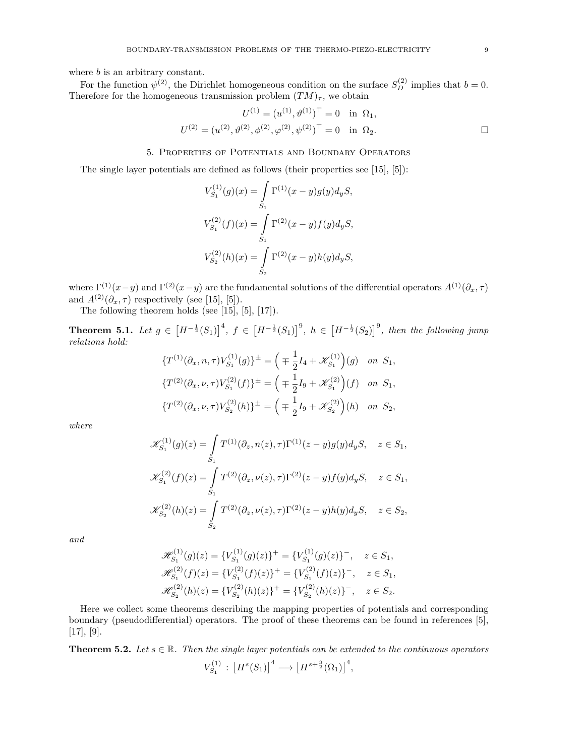where *b* is an arbitrary constant.

For the function  $\psi^{(2)}$ , the Dirichlet homogeneous condition on the surface  $S_D^{(2)}$  implies that  $b=0$ . Therefore for the homogeneous transmission problem  $(TM)_{\tau}$ , we obtain

$$
U^{(1)} = (u^{(1)}, \vartheta^{(1)})^{\top} = 0 \text{ in } \Omega_1,
$$
  

$$
U^{(2)} = (u^{(2)}, \vartheta^{(2)}, \varphi^{(2)}, \varphi^{(2)}, \psi^{(2)})^{\top} = 0 \text{ in } \Omega_2.
$$

### 5. Properties of Potentials and Boundary Operators

The single layer potentials are defined as follows (their properties see [15], [5]):

$$
\begin{aligned} V_{S_1}^{(1)}(g)(x) &= \int\limits_{S_1} \Gamma^{(1)}(x-y) g(y) d_y S, \\ V_{S_1}^{(2)}(f)(x) &= \int\limits_{S_1} \Gamma^{(2)}(x-y) f(y) d_y S, \\ V_{S_2}^{(2)}(h)(x) &= \int\limits_{S_2} \Gamma^{(2)}(x-y) h(y) d_y S, \end{aligned}
$$

where  $\Gamma^{(1)}(x-y)$  and  $\Gamma^{(2)}(x-y)$  are the fundamental solutions of the differential operators  $A^{(1)}(\partial_x, \tau)$ and  $A^{(2)}(\partial_x, \tau)$  respectively (see [15], [5]).

The following theorem holds (see [15], [5], [17]).

**Theorem 5.1.** Let  $g \in [H^{-\frac{1}{2}}(S_1)]^4$ ,  $f \in [H^{-\frac{1}{2}}(S_1)]^9$ ,  $h \in [H^{-\frac{1}{2}}(S_2)]^9$ , then the following jump relations hold:

$$
\begin{aligned}\n\{T^{(1)}(\partial_x, n, \tau)V_{S_1}^{(1)}(g)\}^{\pm} &= \left(\mp \frac{1}{2}I_4 + \mathscr{K}_{S_1}^{(1)}\right)(g) \quad \text{on } S_1, \\
\{T^{(2)}(\partial_x, \nu, \tau)V_{S_1}^{(2)}(f)\}^{\pm} &= \left(\mp \frac{1}{2}I_9 + \mathscr{K}_{S_1}^{(2)}\right)(f) \quad \text{on } S_1, \\
\{T^{(2)}(\partial_x, \nu, \tau)V_{S_2}^{(2)}(h)\}^{\pm} &= \left(\mp \frac{1}{2}I_9 + \mathscr{K}_{S_2}^{(2)}\right)(h) \quad \text{on } S_2,\n\end{aligned}
$$

where

$$
\begin{split} \mathscr{K}^{(1)}_{S_1}(g)(z) &= \int\limits_{S_1} T^{(1)}(\partial_z, n(z), \tau) \Gamma^{(1)}(z-y) g(y) d_y S, \quad z \in S_1, \\ \mathscr{K}^{(2)}_{S_1}(f)(z) &= \int\limits_{S_1} T^{(2)}(\partial_z, \nu(z), \tau) \Gamma^{(2)}(z-y) f(y) d_y S, \quad z \in S_1, \\ \mathscr{K}^{(2)}_{S_2}(h)(z) &= \int\limits_{S_2} T^{(2)}(\partial_z, \nu(z), \tau) \Gamma^{(2)}(z-y) h(y) d_y S, \quad z \in S_2, \end{split}
$$

and

$$
\mathcal{H}_{S_1}^{(1)}(g)(z) = \{V_{S_1}^{(1)}(g)(z)\}^+ = \{V_{S_1}^{(1)}(g)(z)\}^-, \quad z \in S_1,
$$
  

$$
\mathcal{H}_{S_1}^{(2)}(f)(z) = \{V_{S_1}^{(2)}(f)(z)\}^+ = \{V_{S_1}^{(2)}(f)(z)\}^-, \quad z \in S_1,
$$
  

$$
\mathcal{H}_{S_2}^{(2)}(h)(z) = \{V_{S_2}^{(2)}(h)(z)\}^+ = \{V_{S_2}^{(2)}(h)(z)\}^-, \quad z \in S_2.
$$

Here we collect some theorems describing the mapping properties of potentials and corresponding boundary (pseudodifferential) operators. The proof of these theorems can be found in references [5],  $[17], [9].$ 

**Theorem 5.2.** Let  $s \in \mathbb{R}$ . Then the single layer potentials can be extended to the continuous operators  $V_{S_1}^{(1)}$  $S_1^{(1)}: [H^s(S_1)]^4 \longrightarrow [H^{s+\frac{3}{2}}(\Omega_1)]^4,$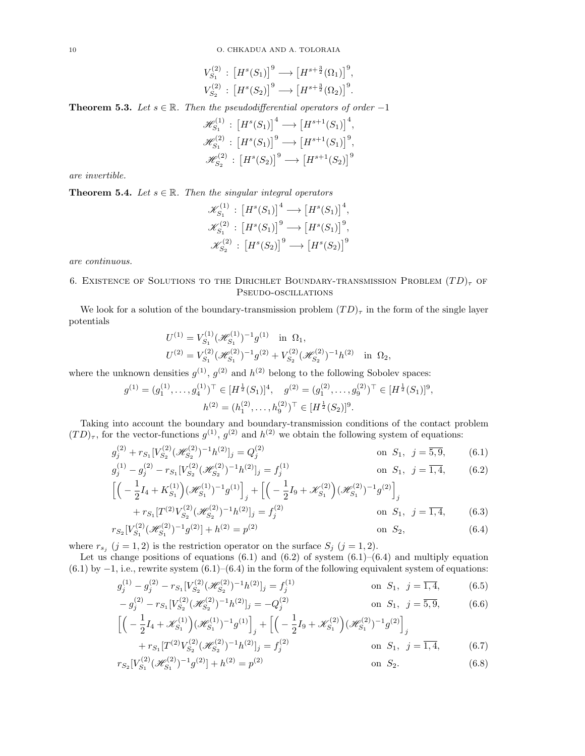$$
V_{S_1}^{(2)}: [H^s(S_1)]^9 \longrightarrow [H^{s+\frac{3}{2}}(\Omega_1)]^9,
$$
  

$$
V_{S_2}^{(2)}: [H^s(S_2)]^9 \longrightarrow [H^{s+\frac{3}{2}}(\Omega_2)]^9.
$$

**Theorem 5.3.** Let  $s \in \mathbb{R}$ . Then the pseudodifferential operators of order -1

$$
\mathcal{H}_{S_1}^{(1)} : [H^s(S_1)]^4 \longrightarrow [H^{s+1}(S_1)]^4,
$$
  

$$
\mathcal{H}_{S_1}^{(2)} : [H^s(S_1)]^9 \longrightarrow [H^{s+1}(S_1)]^9,
$$
  

$$
\mathcal{H}_{S_2}^{(2)} : [H^s(S_2)]^9 \longrightarrow [H^{s+1}(S_2)]^9
$$

are invertible.

**Theorem 5.4.** Let  $s \in \mathbb{R}$ . Then the singular integral operators

$$
\mathcal{K}_{S_1}^{(1)} : [H^s(S_1)]^4 \longrightarrow [H^s(S_1)]^4,
$$
  
\n
$$
\mathcal{K}_{S_1}^{(2)} : [H^s(S_1)]^9 \longrightarrow [H^s(S_1)]^9,
$$
  
\n
$$
\mathcal{K}_{S_2}^{(2)} : [H^s(S_2)]^9 \longrightarrow [H^s(S_2)]^9
$$

are continuous.

# 6. EXISTENCE OF SOLUTIONS TO THE DIRICHLET BOUNDARY-TRANSMISSION PROBLEM  $(T D)_{\tau}$  OF Pseudo-oscillations

We look for a solution of the boundary-transmission problem  $(T D)$ <sub>r</sub> in the form of the single layer potentials

$$
U^{(1)} = V_{S_1}^{(1)} (\mathscr{H}_{S_1}^{(1)})^{-1} g^{(1)} \text{ in } \Omega_1,
$$
  
\n
$$
U^{(2)} = V_{S_1}^{(2)} (\mathscr{H}_{S_1}^{(2)})^{-1} g^{(2)} + V_{S_2}^{(2)} (\mathscr{H}_{S_2}^{(2)})^{-1} h^{(2)} \text{ in } \Omega_2,
$$

where the unknown densities  $g^{(1)}$ ,  $g^{(2)}$  and  $h^{(2)}$  belong to the following Sobolev spaces:

$$
g^{(1)} = (g_1^{(1)}, \dots, g_4^{(1)})^\top \in [H^{\frac{1}{2}}(S_1)]^4, \quad g^{(2)} = (g_1^{(2)}, \dots, g_9^{(2)})^\top \in [H^{\frac{1}{2}}(S_1)]^9,
$$

$$
h^{(2)} = (h_1^{(2)}, \dots, h_9^{(2)})^\top \in [H^{\frac{1}{2}}(S_2)]^9.
$$

Taking into account the boundary and boundary-transmission conditions of the contact problem  $(TD)_{\tau}$ , for the vector-functions  $g^{(1)}$ ,  $g^{(2)}$  and  $h^{(2)}$  we obtain the following system of equations:

$$
g_j^{(2)} + r_{S_1} [V_{S_2}^{(2)}(\mathcal{H}_{S_2}^{(2)})^{-1} h^{(2)}]_j = Q_j^{(2)}
$$
 on  $S_1$ ,  $j = \overline{5, 9}$ , (6.1)

$$
g_j^{(1)} - g_j^{(2)} - r_{S_1} [V_{S_2}^{(2)} (\mathcal{H}_{S_2}^{(2)})^{-1} h^{(2)}]_j = f_j^{(1)}
$$
 on  $S_1$ ,  $j = \overline{1, 4}$ , (6.2)

$$
\begin{aligned}\n&\left[ \left( -\frac{1}{2} I_4 + K_{S_1}^{(1)} \right) (\mathcal{H}_{S_1}^{(1)})^{-1} g^{(1)} \right]_j + \left[ \left( -\frac{1}{2} I_9 + \mathcal{K}_{S_1}^{(2)} \right) (\mathcal{H}_{S_1}^{(2)})^{-1} g^{(2)} \right]_j \\
&\quad + r_{S_1} [T^{(2)} V_{S_2}^{(2)} (\mathcal{H}_{S_2}^{(2)})^{-1} h^{(2)}]_j = f_j^{(2)} \qquad \text{on } S_1, \ j = \overline{1, 4},\n\end{aligned} \tag{6.3}
$$

$$
r_{S_2}[V_{S_1}^{(2)}(\mathcal{H}_{S_1}^{(2)})^{-1}g^{(2)}] + h^{(2)} = p^{(2)} \qquad \text{on } S_2,
$$
\n(6.4)

where  $r_{s_j}$   $(j = 1, 2)$  is the restriction operator on the surface  $S_j$   $(j = 1, 2)$ .

Let us change positions of equations  $(6.1)$  and  $(6.2)$  of system  $(6.1)$ – $(6.4)$  and multiply equation  $(6.1)$  by  $-1$ , i.e., rewrite system  $(6.1)$ – $(6.4)$  in the form of the following equivalent system of equations:

$$
g_j^{(1)} - g_j^{(2)} - r_{S_1} [V_{S_2}^{(2)} (\mathcal{H}_{S_2}^{(2)})^{-1} h^{(2)}]_j = f_j^{(1)}
$$
 on  $S_1$ ,  $j = \overline{1, 4}$ , (6.5)  
\n
$$
g_j^{(2)} - r_{S_1} [V_{S_2}^{(2)} (\mathcal{H}_{S_2}^{(2)})^{-1} h^{(2)}]_j = -Q^{(2)}
$$
 on  $S_j$ ,  $j = \overline{1, 4}$ , (6.6)

$$
-g_j^{(2)} - r_{S_1} [V_{S_2}^{(2)} (\mathcal{H}_{S_2}^{(2)})^{-1} h^{(2)}]_j = -Q_j^{(2)} \qquad \text{on } S_1, \ j = \overline{5, 9}, \qquad (6.6)
$$

$$
\left[ \left( -\frac{1}{2} I_4 + \mathcal{K}_{S_1}^{(1)} \right) (\mathcal{H}_{S_1}^{(1)})^{-1} g^{(1)} \right]_j + \left[ \left( -\frac{1}{2} I_9 + \mathcal{K}_{S_1}^{(2)} \right) (\mathcal{H}_{S_1}^{(2)})^{-1} g^{(2)} \right]_j
$$

$$
+ r_{S_1}[T^{(2)}V_{S_2}^{(2)}(\mathcal{H}_{S_2}^{(2)})^{-1}h^{(2)}]_j = f_j^{(2)} \qquad \text{on } S_1, \ j = \overline{1, 4}, \qquad (6.7)
$$

$$
r_{S_2}[V_{S_1}^{(2)}(\mathcal{H}_{S_1}^{(2)})^{-1}g^{(2)}] + h^{(2)} = p^{(2)} \qquad \text{on } S_2.
$$
 (6.8)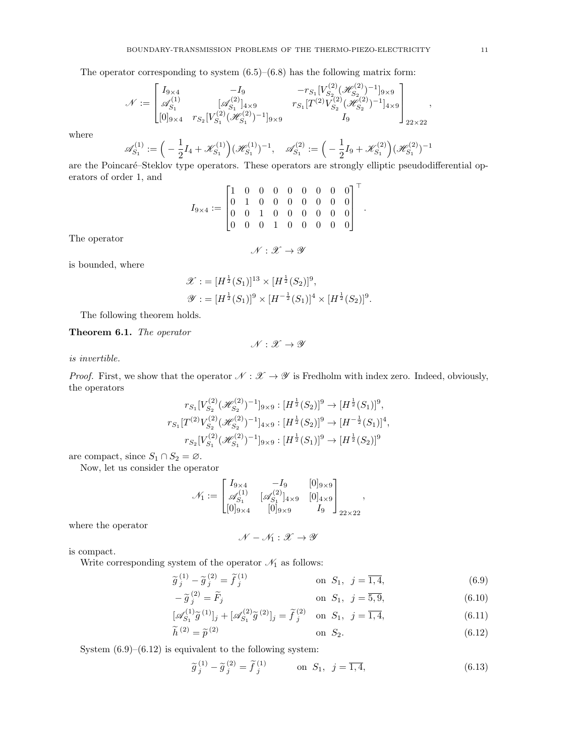The operator corresponding to system  $(6.5)$ – $(6.8)$  has the following matrix form:

$$
\mathcal{N}:=\begin{bmatrix}I_{9\times 4}&-I_{9}&-r_{S_{1}}[V_{S_{2}}^{(2)}(\mathscr{H}_{S_{2}}^{(2)})^{-1}]_{9\times 9}\\ \mathscr{A}^{(1)}_{S_{1}}& [\mathscr{A}^{(2)}_{S_{1}}]_{4\times 9}&r_{S_{1}}[T^{(2)}V_{S_{2}}^{(2)}(\mathscr{H}_{S_{2}}^{(2)})^{-1}]_{4\times 9}\\ [0]_{9\times 4}&r_{S_{2}}[V_{S_{1}}^{(2)}(\mathscr{H}_{S_{1}}^{(2)})^{-1}]_{9\times 9} &I_{9}\end{bmatrix}_{22\times 22},
$$

where

$$
\mathscr{A}_{S_1}^{(1)} := \left( -\frac{1}{2} I_4 + \mathscr{K}_{S_1}^{(1)} \right) (\mathscr{H}_{S_1}^{(1)})^{-1}, \quad \mathscr{A}_{S_1}^{(2)} := \left( -\frac{1}{2} I_9 + \mathscr{K}_{S_1}^{(2)} \right) (\mathscr{H}_{S_1}^{(2)})^{-1}
$$

are the Poincaré–Steklov type operators. These operators are strongly elliptic pseudodifferential operators of order 1, and  $\mathbf{r}$ 

$$
I_{9\times 4}:=\begin{bmatrix}1 & 0 & 0 & 0 & 0 & 0 & 0 & 0 & 0 \\ 0 & 1 & 0 & 0 & 0 & 0 & 0 & 0 & 0 \\ 0 & 0 & 1 & 0 & 0 & 0 & 0 & 0 & 0 \\ 0 & 0 & 0 & 1 & 0 & 0 & 0 & 0 & 0 \end{bmatrix}^\top.
$$

The operator

 $\mathcal{N}: \mathcal{X} \to \mathcal{Y}$ 

is bounded, where

$$
\mathscr{X} := [H^{\frac{1}{2}}(S_1)]^{13} \times [H^{\frac{1}{2}}(S_2)]^9,
$$
  

$$
\mathscr{Y} := [H^{\frac{1}{2}}(S_1)]^9 \times [H^{-\frac{1}{2}}(S_1)]^4 \times [H^{\frac{1}{2}}(S_2)]^9.
$$

The following theorem holds.

Theorem 6.1. The operator

is invertible.

*Proof.* First, we show that the operator 
$$
\mathcal{N} : \mathcal{X} \to \mathcal{Y}
$$
 is Fredholm with index zero. Indeed, obviously, the operators

 $\mathscr{N}:\mathscr{X}\to\mathscr{Y}$ 

$$
r_{S_1}[V_{S_2}^{(2)}(\mathcal{H}_{S_2}^{(2)})^{-1}]_{9\times 9}: [H^{\frac{1}{2}}(S_2)]^9 \to [H^{\frac{1}{2}}(S_1)]^9,
$$
  
\n
$$
r_{S_1}[T^{(2)}V_{S_2}^{(2)}(\mathcal{H}_{S_2}^{(2)})^{-1}]_{4\times 9}: [H^{\frac{1}{2}}(S_2)]^9 \to [H^{-\frac{1}{2}}(S_1)]^4,
$$
  
\n
$$
r_{S_2}[V_{S_1}^{(2)}(\mathcal{H}_{S_1}^{(2)})^{-1}]_{9\times 9}: [H^{\frac{1}{2}}(S_1)]^9 \to [H^{\frac{1}{2}}(S_2)]^9
$$

are compact, since  $S_1 \cap S_2 = \emptyset$ .

Now, let us consider the operator

$$
\mathcal{N}_1:=\begin{bmatrix}I_{9\times 4}& -I_9 & [0]_{9\times 9}\\ \mathscr{A}^{(1)}_{S_1} & [\mathscr{A}^{(2)}_{S_1}]_{4\times 9} & [0]_{4\times 9}\\ [0]_{9\times 4} & [0]_{9\times 9} & I_9\end{bmatrix}_{22\times 22},
$$

where the operator

$$
\mathscr{N}-\mathscr{N}_1:\mathscr{X}\to\mathscr{Y}
$$

is compact.

Write corresponding system of the operator  $\mathcal{N}_1$  as follows:

$$
\widetilde{g}_j^{(1)} - \widetilde{g}_j^{(2)} = \widetilde{f}_j^{(1)} \qquad \text{on } S_1, \ j = \overline{1, 4}, \tag{6.9}
$$
\n
$$
\widetilde{g}_j^{(2)} - \widetilde{g}_j^{(2)} = \widetilde{f}_j^{(1)} \qquad \text{on } S_1, \ j = \overline{1, 4}, \tag{6.9}
$$

$$
-\widetilde{g}_j^{(2)} = \widetilde{F}_j \qquad \text{on } S_1, \ j = \overline{5, 9}, \tag{6.10}
$$

$$
[\mathscr{A}_{S_1}^{(1)}\tilde{g}^{(1)}]_j + [\mathscr{A}_{S_1}^{(2)}\tilde{g}^{(2)}]_j = \tilde{f}_j^{(2)} \text{ on } S_1, j = \overline{1, 4},
$$
\n(6.11)

$$
\tilde{h}^{(2)} = \tilde{p}^{(2)} \qquad \text{on } S_2. \tag{6.12}
$$

System  $(6.9)$ – $(6.12)$  is equivalent to the following system:

$$
\widetilde{g}_j^{(1)} - \widetilde{g}_j^{(2)} = \widetilde{f}_j^{(1)} \qquad \text{on } S_1, \ j = \overline{1, 4}, \tag{6.13}
$$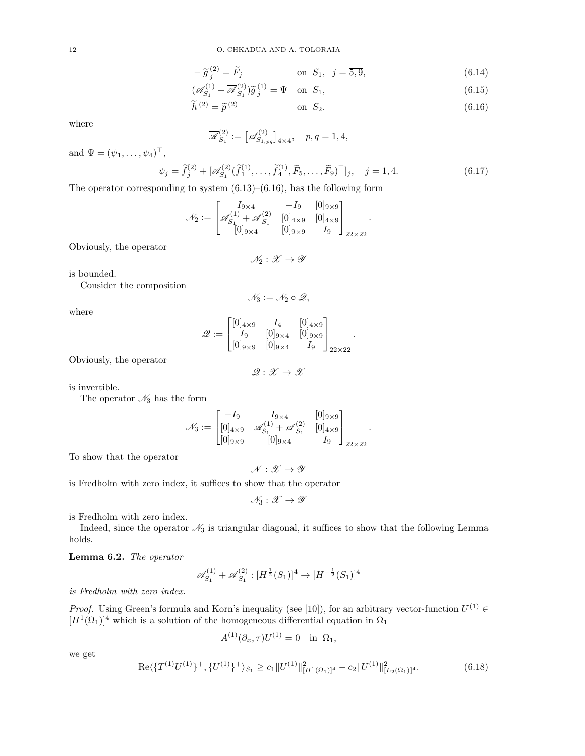$$
-\tilde{g}_j^{(2)} = \tilde{F}_j \qquad \text{on } S_1, \ \ j = \overline{5, 9}, \tag{6.14}
$$

$$
\left(\mathscr{A}_{S_1}^{(1)} + \overline{\mathscr{A}}_{S_1}^{(2)}\right)\widetilde{g}_j^{(1)} = \Psi \quad \text{on } S_1,\tag{6.15}
$$

$$
\widetilde{h}^{(2)} = \widetilde{p}^{(2)} \qquad \qquad \text{on } S_2. \tag{6.16}
$$

.

.

where

$$
\overline{\mathscr{A}}_{S_1}^{(2)} := \big[\mathscr{A}_{S_{1,pq}}^{(2)}\big]_{4\times 4}, \quad p, q = \overline{1, 4},
$$

and  $\Psi = (\psi_1, ..., \psi_4)^{\top}$ ,

$$
\psi_j = \tilde{f}_j^{(2)} + [\mathscr{A}_{S_1}^{(2)}(\tilde{f}_1^{(1)}, \dots, \tilde{f}_4^{(1)}, \tilde{F}_5, \dots, \tilde{F}_9)^{\top}]_j, \quad j = \overline{1, 4}.
$$
 (6.17)

The operator corresponding to system  $(6.13)$ – $(6.16)$ , has the following form

$$
\mathcal{N}_2 := \begin{bmatrix} I_{9 \times 4} & -I_9 & [0]_{9 \times 9} \\ \mathscr{A}_{S_1}^{(1)} + \overline{\mathscr{A}}_{S_1}^{(2)} & [0]_{4 \times 9} & [0]_{4 \times 9} \\ [0]_{9 \times 4} & [0]_{9 \times 9} & I_9 \end{bmatrix}_{22 \times 22}
$$

Obviously, the operator

 $\mathcal{N}_2 : \mathcal{X} \to \mathcal{Y}$ 

is bounded.

Consider the composition

$$
\mathscr{N}_3 := \mathscr{N}_2 \circ \mathscr{Q},
$$

where

$$
\mathscr{Q}:=\begin{bmatrix} [0]_{4\times 9} & I_4 & [0]_{4\times 9}\\ I_9 & [0]_{9\times 4} & [0]_{9\times 9}\\ [0]_{9\times 9} & [0]_{9\times 4} & I_9 \end{bmatrix}_{22\times 22}.
$$

Obviously, the operator

$$
\mathscr{Q} : \mathscr{X} \to \mathscr{X}
$$

is invertible.

The operator  $\mathcal{N}_3$  has the form

$$
\mathcal{N}_3 := \begin{bmatrix} -I_9 & I_{9 \times 4} & [0]_{9 \times 9} \\ [0]_{4 \times 9} & \mathscr{A}_{S_1}^{(1)} + \overline{\mathscr{A}}_{S_1}^{(2)} & [0]_{4 \times 9} \\ [0]_{9 \times 9} & [0]_{9 \times 4} & I_9 \end{bmatrix}_{22 \times 22}
$$

To show that the operator

$$
\mathscr{N}:\mathscr{X}\to\mathscr{Y}
$$

is Fredholm with zero index, it suffices to show that the operator

$$
\mathscr{N}_3:\mathscr{X}\to\mathscr{Y}
$$

is Fredholm with zero index.

Indeed, since the operator  $\mathcal{N}_3$  is triangular diagonal, it suffices to show that the following Lemma holds.

Lemma 6.2. The operator

$$
\mathscr{A}_{S_1}^{(1)} + \overline{\mathscr{A}}_{S_1}^{(2)} : [H^{\frac{1}{2}}(S_1)]^4 \to [H^{-\frac{1}{2}}(S_1)]^4
$$

is Fredholm with zero index.

*Proof.* Using Green's formula and Korn's inequality (see [10]), for an arbitrary vector-function  $U^{(1)} \in$  $[H<sup>1</sup>(\Omega<sub>1</sub>)]<sup>4</sup>$  which is a solution of the homogeneous differential equation in  $\Omega<sub>1</sub>$ 

$$
A^{(1)}(\partial_x, \tau)U^{(1)} = 0 \quad \text{in} \ \Omega_1,
$$

we get

Re
$$
\langle \{T^{(1)}U^{(1)}\}^+, \{U^{(1)}\}^+\rangle_{S_1} \ge c_1 \|U^{(1)}\|_{[H^1(\Omega_1)]^4}^2 - c_2 \|U^{(1)}\|_{[L_2(\Omega_1)]^4}^2.
$$
 (6.18)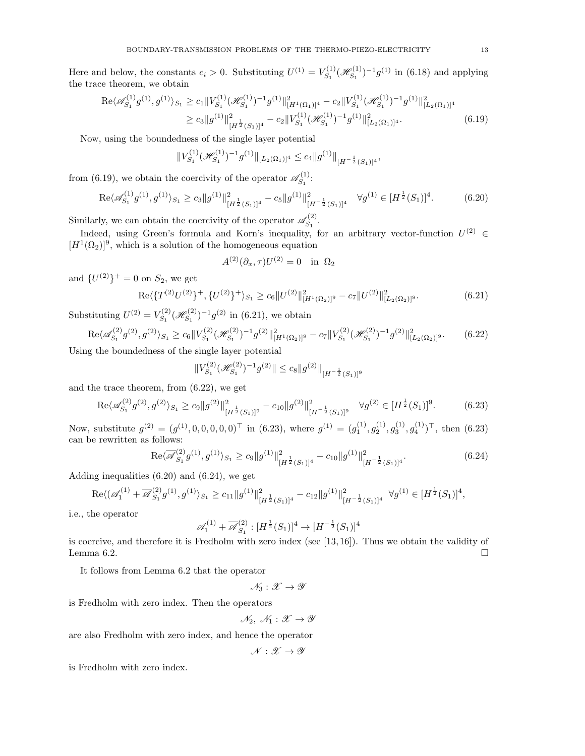Here and below, the constants  $c_i > 0$ . Substituting  $U^{(1)} = V_{S_1}^{(1)}$  $\mathscr{H}^{(1)}_{S_1}(\mathscr{H}^{(1)}_{S_1})$  $\binom{g(1)}{S_1}$ <sup>-1</sup> $g^{(1)}$  in (6.18) and applying the trace theorem, we obtain

$$
\operatorname{Re}\langle \mathscr{A}_{S_1}^{(1)}g^{(1)}, g^{(1)}\rangle_{S_1} \ge c_1 \|V_{S_1}^{(1)}(\mathscr{H}_{S_1}^{(1)})^{-1}g^{(1)}\|_{[H^1(\Omega_1)]^4}^2 - c_2 \|V_{S_1}^{(1)}(\mathscr{H}_{S_1}^{(1)})^{-1}g^{(1)}\|_{[L_2(\Omega_1)]^4}^2
$$
  

$$
\ge c_3 \|g^{(1)}\|_{[H^{\frac{1}{2}}(S_1)]^4}^2 - c_2 \|V_{S_1}^{(1)}(\mathscr{H}_{S_1}^{(1)})^{-1}g^{(1)}\|_{[L_2(\Omega_1)]^4}^2.
$$
 (6.19)

Now, using the boundedness of the single layer potential

$$
||V_{S_1}^{(1)}(\mathcal{H}_{S_1}^{(1)})^{-1}g^{(1)}||_{[L_2(\Omega_1)]^4} \leq c_4||g^{(1)}||_{[H^{-\frac{1}{2}}(S_1)]^4},
$$

from (6.19), we obtain the coercivity of the operator  $\mathscr{A}_{S_1}^{(1)}$  $S_1^{(1)}$ :

$$
\operatorname{Re}\langle \mathscr{A}_{S_1}^{(1)}g^{(1)}, g^{(1)}\rangle_{S_1} \ge c_3 \|g^{(1)}\|_{[H^{\frac{1}{2}}(S_1)]^4}^2 - c_5 \|g^{(1)}\|_{[H^{-\frac{1}{2}}(S_1)]^4}^2 \quad \forall g^{(1)} \in [H^{\frac{1}{2}}(S_1)]^4. \tag{6.20}
$$

Similarly, we can obtain the coercivity of the operator  $\mathscr{A}_{S_1}^{(2)}$  $S_1^{(2)}$ .

Indeed, using Green's formula and Korn's inequality, for an arbitrary vector-function  $U^{(2)} \in$  $[H<sup>1</sup>(\Omega<sub>2</sub>)]<sup>9</sup>$ , which is a solution of the homogeneous equation

$$
A^{(2)}(\partial_x, \tau)U^{(2)} = 0 \quad \text{in} \ \Omega_2
$$

and  $\{U^{(2)}\}^+ = 0$  on  $S_2$ , we get

$$
\operatorname{Re}\langle \{T^{(2)}U^{(2)}\}^+, \{U^{(2)}\}^+\rangle_{S_1} \ge c_6 \|U^{(2)}\|_{[H^1(\Omega_2)]^9}^2 - c_7 \|U^{(2)}\|_{[L_2(\Omega_2)]^9}^2. \tag{6.21}
$$

Substituting  $U^{(2)} = V_{S_1}^{(2)}$  $S_1^{(2)}(\mathscr{H}_{S_1}^{(2)})$  $\binom{S(2)}{S_1}^{-1} g^{(2)}$  in (6.21), we obtain

 $(2)$ 

$$
\operatorname{Re}\langle\mathcal{A}_{S_1}^{(2)}g^{(2)},g^{(2)}\rangle_{S_1} \ge c_6 \|V_{S_1}^{(2)}(\mathcal{H}_{S_1}^{(2)})^{-1}g^{(2)}\|_{[H^1(\Omega_2)]^9}^2 - c_7 \|V_{S_1}^{(2)}(\mathcal{H}_{S_1}^{(2)})^{-1}g^{(2)}\|_{[L_2(\Omega_2)]^9}^2. \tag{6.22}
$$

Using the boundedness of the single layer potential

$$
||V_{S_1}^{(2)}(\mathcal{H}_{S_1}^{(2)})^{-1}g^{(2)}|| \leq c_8||g^{(2)}||_{H^{-\frac{1}{2}}(S_1)]^9}
$$

and the trace theorem, from (6.22), we get

$$
\operatorname{Re}\langle \mathscr{A}_{S_1}^{(2)}g^{(2)}, g^{(2)}\rangle_{S_1} \ge c_9 \|g^{(2)}\|_{[H^{\frac{1}{2}}(S_1)]^9}^2 - c_{10} \|g^{(2)}\|_{[H^{-\frac{1}{2}}(S_1)]^9}^2 \quad \forall g^{(2)} \in [H^{\frac{1}{2}}(S_1)]^9. \tag{6.23}
$$

Now, substitute  $g^{(2)} = (g^{(1)}, 0, 0, 0, 0, 0)^{\top}$  in (6.23), where  $g^{(1)} = (g_1^{(1)}, g_2^{(1)}, g_3^{(1)}, g_4^{(1)})^{\top}$ , then (6.23) can be rewritten as follows:

$$
\mathrm{Re}\langle \overline{\mathscr{A}}_{S_1}^{(2)} g^{(1)}, g^{(1)} \rangle_{S_1} \ge c_9 \|g^{(1)}\|_{[H^{\frac{1}{2}}(S_1)]^4}^2 - c_{10} \|g^{(1)}\|_{[H^{-\frac{1}{2}}(S_1)]^4}^2. \tag{6.24}
$$

Adding inequalities (6.20) and (6.24), we get

$$
\mathrm{Re}\langle (\mathscr{A}_1^{(1)}+\overline{\mathscr{A}}_{S_1}^{(2)}g^{(1)},g^{(1)})_{S_1}\geq c_{11}\|g^{(1)}\|_{[H^{\frac{1}{2}}(S_1)]^4}^2-c_{12}\|g^{(1)}\|_{[H^{-\frac{1}{2}}(S_1)]^4}^2\ \ \forall g^{(1)}\in [H^{\frac{1}{2}}(S_1)]^4,
$$

i.e., the operator

$$
\mathscr{A}_1^{(1)} + \overline{\mathscr{A}}_{S_1}^{(2)} : [H^{\frac{1}{2}}(S_1)]^4 \to [H^{-\frac{1}{2}}(S_1)]^4
$$

is coercive, and therefore it is Fredholm with zero index (see [13, 16]). Thus we obtain the validity of Lemma 6.2.

It follows from Lemma 6.2 that the operator

 $\mathcal{N}_3 : \mathcal{X} \to \mathcal{Y}$ 

is Fredholm with zero index. Then the operators

 $\mathcal{N}_2, \ \mathcal{N}_1 : \mathscr{X} \to \mathscr{Y}$ 

are also Fredholm with zero index, and hence the operator

$$
\mathscr{N}:\mathscr{X}\to\mathscr{Y}
$$

is Fredholm with zero index.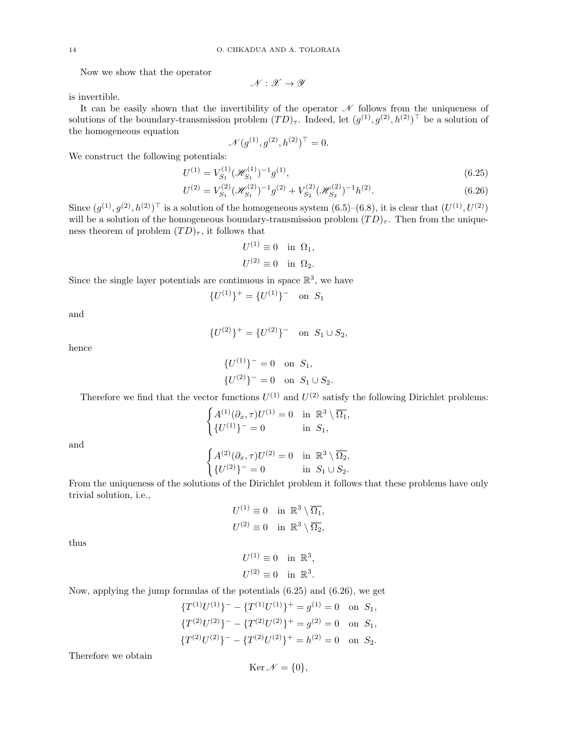Now we show that the operator

 $\mathscr{N} : \mathscr{X} \to \mathscr{Y}$ 

is invertible.

It can be easily shown that the invertibility of the operator  $\mathcal N$  follows from the uniqueness of solutions of the boundary-transmission problem  $(TD)_{\tau}$ . Indeed, let  $(g^{(1)}, g^{(2)}, h^{(2)})^{\top}$  be a solution of the homogeneous equation

$$
\mathcal{N}(g^{(1)}, g^{(2)}, h^{(2)})^{\top} = 0.
$$

We construct the following potentials:

$$
U^{(1)} = V_{S_1}^{(1)} (\mathcal{H}_{S_1}^{(1)})^{-1} g^{(1)},\tag{6.25}
$$

$$
U^{(2)} = V_{S_1}^{(2)} (\mathcal{H}_{S_1}^{(2)})^{-1} g^{(2)} + V_{S_2}^{(2)} (\mathcal{H}_{S_2}^{(2)})^{-1} h^{(2)}.
$$
 (6.26)

Since  $(g^{(1)}, g^{(2)}, h^{(2)})^{\top}$  is a solution of the homogeneous system  $(6.5)$ – $(6.8)$ , it is clear that  $(U^{(1)}, U^{(2)})$ will be a solution of the homogeneous boundary-transmission problem  $(T^{(1)})_{\tau}$ . Then from the uniqueness theorem of problem  $(TD)_{\tau}$ , it follows that

$$
U^{(1)} \equiv 0 \text{ in } \Omega_1,
$$
  

$$
U^{(2)} \equiv 0 \text{ in } \Omega_2.
$$

Since the single layer potentials are continuous in space  $\mathbb{R}^3$ , we have

$$
\{U^{(1)}\}^+ = \{U^{(1)}\}^- \quad \text{on} \ \ S_1
$$

and

$$
{U^{(2)}}^+ = {U^{(2)}}^- \quad \text{on} \ \ S_1 \cup S_2,
$$

hence

$$
\{U^{(1)}\}^- = 0 \text{ on } S_1,
$$
  

$$
\{U^{(2)}\}^- = 0 \text{ on } S_1 \cup S_2.
$$

Therefore we find that the vector functions  $U^{(1)}$  and  $U^{(2)}$  satisfy the following Dirichlet problems:

$$
\begin{cases} A^{(1)}(\partial_x, \tau)U^{(1)}=0 & \text{in} \ \ \mathbb{R}^3\setminus\overline{\Omega_1}, \\ \{U^{(1)}\}^- = 0 & \text{in} \ \ S_1, \end{cases}
$$

and

$$
\begin{cases} A^{(2)}(\partial_x,\tau)U^{(2)}=0 &\text{in }\; \mathbb{R}^3\setminus\overline{\Omega_2}, \\ \{U^{(2)}\}^- = 0 &\text{in }\; S_1\cup S_2. \end{cases}
$$

From the uniqueness of the solutions of the Dirichlet problem it follows that these problems have only trivial solution, i.e.,

$$
U^{(1)} \equiv 0 \quad \text{in } \mathbb{R}^3 \setminus \overline{\Omega_1},
$$
  

$$
U^{(2)} \equiv 0 \quad \text{in } \mathbb{R}^3 \setminus \overline{\Omega_2},
$$

 $U^{(1)} \equiv 0$  in  $\mathbb{R}^3$ ,  $U^{(2)} \equiv 0$  in  $\mathbb{R}^3$ .

thus

Now, applying the jump formulas of the potentials 
$$
(6.25)
$$
 and  $(6.26)$ , we get

$$
\{T^{(1)}U^{(1)}\}^- - \{T^{(1)}U^{(1)}\}^+ = g^{(1)} = 0 \text{ on } S_1,
$$
  

$$
\{T^{(2)}U^{(2)}\}^- - \{T^{(2)}U^{(2)}\}^+ = g^{(2)} = 0 \text{ on } S_1,
$$
  

$$
\{T^{(2)}U^{(2)}\}^- - \{T^{(2)}U^{(2)}\}^+ = h^{(2)} = 0 \text{ on } S_2.
$$

Therefore we obtain

$$
\operatorname{Ker} \mathcal{N} = \{0\},\
$$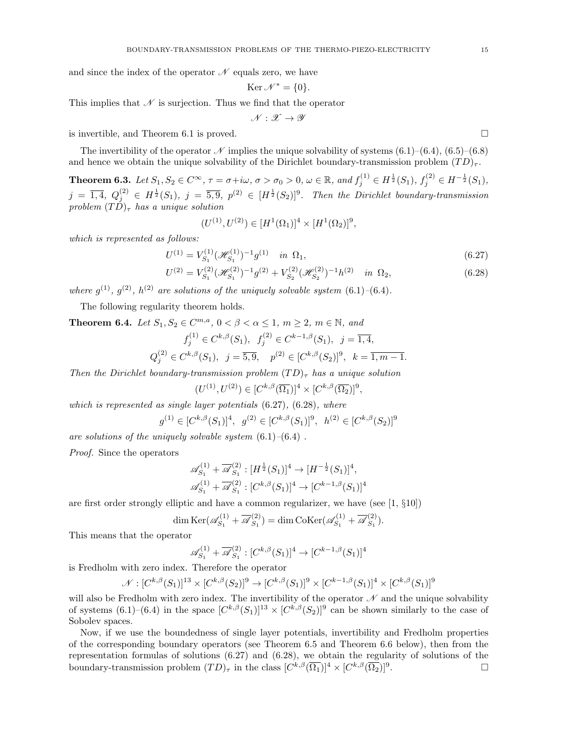and since the index of the operator  $\mathcal N$  equals zero, we have

$$
\operatorname{Ker} \mathcal{N}^* = \{0\}.
$$

This implies that  $\mathcal N$  is surjection. Thus we find that the operator

$$
\mathscr{N}:\mathscr{X}\to\mathscr{Y}
$$

is invertible, and Theorem 6.1 is proved.

The invertibility of the operator  $\mathscr N$  implies the unique solvability of systems (6.1)–(6.4), (6.5)–(6.8) and hence we obtain the unique solvability of the Dirichlet boundary-transmission problem  $(T D)_{\tau}$ .

**Theorem 6.3.** Let  $S_1, S_2 \in C^{\infty}$ ,  $\tau = \sigma + i\omega$ ,  $\sigma > \sigma_0 > 0$ ,  $\omega \in \mathbb{R}$ , and  $f_j^{(1)} \in H^{\frac{1}{2}}(S_1)$ ,  $f_j^{(2)} \in H^{-\frac{1}{2}}(S_1)$ ,  $j = \overline{1,4}, Q_j^{(2)} \in H^{\frac{1}{2}}(S_1), j = \overline{5,9}, p^{(2)} \in [H^{\frac{1}{2}}(S_2)]^9$ . Then the Dirichlet boundary-transmission problem  $(T\overline{D})_{\tau}$  has a unique solution

$$
(U^{(1)}, U^{(2)}) \in [H^1(\Omega_1)]^4 \times [H^1(\Omega_2)]^9,
$$

which is represented as follows:

$$
U^{(1)} = V_{S_1}^{(1)} (\mathcal{H}_{S_1}^{(1)})^{-1} g^{(1)} \quad \text{in } \Omega_1,\tag{6.27}
$$

$$
U^{(2)} = V_{S_1}^{(2)} (\mathcal{H}_{S_1}^{(2)})^{-1} g^{(2)} + V_{S_2}^{(2)} (\mathcal{H}_{S_2}^{(2)})^{-1} h^{(2)} \quad \text{in } \Omega_2,\tag{6.28}
$$

where  $g^{(1)}$ ,  $g^{(2)}$ ,  $h^{(2)}$  are solutions of the uniquely solvable system  $(6.1)$ - $(6.4)$ .

The following regularity theorem holds.

**Theorem 6.4.** Let  $S_1, S_2 \in C^{m,a}$ ,  $0 < \beta < \alpha \leq 1$ ,  $m \geq 2$ ,  $m \in \mathbb{N}$ , and

$$
f_j^{(1)} \in C^{k,\beta}(S_1), \quad f_j^{(2)} \in C^{k-1,\beta}(S_1), \quad j = \overline{1,4},
$$
  

$$
Q_j^{(2)} \in C^{k,\beta}(S_1), \quad j = \overline{5,9}, \quad p^{(2)} \in [C^{k,\beta}(S_2)]^9, \quad k = \overline{1,m-1}.
$$

Then the Dirichlet boundary-transmission problem  $(TD)_{\tau}$  has a unique solution

$$
(U^{(1)}, U^{(2)}) \in [C^{k,\beta}(\overline{\Omega_1})]^4 \times [C^{k,\beta}(\overline{\Omega_2})]^9,
$$

which is represented as single layer potentials  $(6.27)$ ,  $(6.28)$ , where

$$
g^{(1)} \in [C^{k,\beta}(S_1)]^4, \ g^{(2)} \in [C^{k,\beta}(S_1)]^9, \ h^{(2)} \in [C^{k,\beta}(S_2)]^9
$$

are solutions of the uniquely solvable system  $(6.1)$ – $(6.4)$ .

Proof. Since the operators

$$
\begin{aligned} &\mathscr{A}_{S_1}^{(1)} + \overline{\mathscr{A}}_{S_1}^{(2)} : [H^{\frac{1}{2}}(S_1)]^4 \to [H^{-\frac{1}{2}}(S_1)]^4, \\ &\mathscr{A}_{S_1}^{(1)} + \overline{\mathscr{A}}_{S_1}^{(2)} : [C^{k,\beta}(S_1)]^4 \to [C^{k-1,\beta}(S_1)]^4 \end{aligned}
$$

are first order strongly elliptic and have a common regularizer, we have (see [1, §10])

$$
\dim \mathrm{Ker}(\mathscr{A}_{S_1}^{(1)} + \overline{\mathscr{A}}_{S_1}^{(2)}) = \dim \mathrm{Coker}(\mathscr{A}_{S_1}^{(1)} + \overline{\mathscr{A}}_{S_1}^{(2)}).
$$

This means that the operator

$$
\mathscr{A}_{S_1}^{(1)} + \overline{\mathscr{A}}_{S_1}^{(2)} : [C^{k,\beta}(S_1)]^4 \to [C^{k-1,\beta}(S_1)]^4
$$

is Fredholm with zero index. Therefore the operator

$$
\mathcal{N}: [C^{k,\beta}(S_1)]^{13} \times [C^{k,\beta}(S_2)]^9 \to [C^{k,\beta}(S_1)]^9 \times [C^{k-1,\beta}(S_1)]^4 \times [C^{k,\beta}(S_1)]^9
$$

will also be Fredholm with zero index. The invertibility of the operator  $\mathcal N$  and the unique solvability of systems  $(6.1)$ – $(6.4)$  in the space  $[C^{k,\beta}(S_1)]^{13} \times [C^{k,\beta}(S_2)]^9$  can be shown similarly to the case of Sobolev spaces.

Now, if we use the boundedness of single layer potentials, invertibility and Fredholm properties of the corresponding boundary operators (see Theorem 6.5 and Theorem 6.6 below), then from the representation formulas of solutions (6.27) and (6.28), we obtain the regularity of solutions of the boundary-transmission problem  $(TD)_{\tau}$  in the class  $[C^{k,\beta}(\overline{\Omega_1})]^4 \times [C^{k,\beta}(\overline{\Omega_2})]^9$ . — Процессиональные просто производительные и производственными и производства и производства и производства <br>В производство производство производство производство производство производство производство производство прои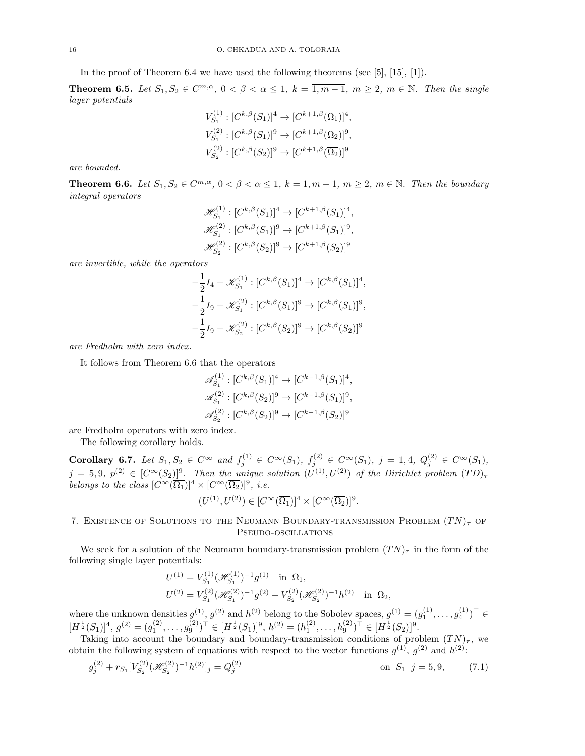In the proof of Theorem 6.4 we have used the following theorems (see [5], [15], [1]).

**Theorem 6.5.** Let  $S_1, S_2 \in \mathbb{C}^{m,\alpha}$ ,  $0 < \beta < \alpha \leq 1$ ,  $k = \overline{1,m-1}$ ,  $m \geq 2$ ,  $m \in \mathbb{N}$ . Then the single layer potentials

$$
V_{S_1}^{(1)} : [C^{k,\beta}(S_1)]^4 \to [C^{k+1,\beta}(\overline{\Omega_1})]^4,
$$
  
\n
$$
V_{S_1}^{(2)} : [C^{k,\beta}(S_1)]^9 \to [C^{k+1,\beta}(\overline{\Omega_2})]^9,
$$
  
\n
$$
V_{S_2}^{(2)} : [C^{k,\beta}(S_2)]^9 \to [C^{k+1,\beta}(\overline{\Omega_2})]^9
$$

are bounded.

**Theorem 6.6.** Let  $S_1, S_2 \in C^{m,\alpha}, 0 < \beta < \alpha \leq 1, k = \overline{1, m-1}, m \geq 2, m \in \mathbb{N}$ . Then the boundary integral operators

$$
\mathcal{H}_{S_1}^{(1)} : [C^{k,\beta}(S_1)]^4 \to [C^{k+1,\beta}(S_1)]^4,
$$
  

$$
\mathcal{H}_{S_1}^{(2)} : [C^{k,\beta}(S_1)]^9 \to [C^{k+1,\beta}(S_1)]^9,
$$
  

$$
\mathcal{H}_{S_2}^{(2)} : [C^{k,\beta}(S_2)]^9 \to [C^{k+1,\beta}(S_2)]^9
$$

are invertible, while the operators

$$
-\frac{1}{2}I_4 + \mathscr{K}_{S_1}^{(1)} : [C^{k,\beta}(S_1)]^4 \to [C^{k,\beta}(S_1)]^4,
$$
  

$$
-\frac{1}{2}I_9 + \mathscr{K}_{S_1}^{(2)} : [C^{k,\beta}(S_1)]^9 \to [C^{k,\beta}(S_1)]^9,
$$
  

$$
-\frac{1}{2}I_9 + \mathscr{K}_{S_2}^{(2)} : [C^{k,\beta}(S_2)]^9 \to [C^{k,\beta}(S_2)]^9
$$

are Fredholm with zero index.

It follows from Theorem 6.6 that the operators

$$
\begin{aligned} \mathscr{A}_{S_1}^{(1)} &:[C^{k,\beta}(S_1)]^4 \to [C^{k-1,\beta}(S_1)]^4, \\ \mathscr{A}_{S_1}^{(2)} &:[C^{k,\beta}(S_2)]^9 \to [C^{k-1,\beta}(S_1)]^9, \\ \mathscr{A}_{S_2}^{(2)} &:[C^{k,\beta}(S_2)]^9 \to [C^{k-1,\beta}(S_2)]^9 \end{aligned}
$$

are Fredholm operators with zero index.

The following corollary holds.

Corollary 6.7. Let  $S_1, S_2 \in C^{\infty}$  and  $f_j^{(1)} \in C^{\infty}(S_1)$ ,  $f_j^{(2)} \in C^{\infty}(S_1)$ ,  $j = \overline{1,4}$ ,  $Q_j^{(2)} \in C^{\infty}(S_1)$ ,  $j = \overline{5,9}, p^{(2)} \in [C^{\infty}(S_2)]^9$ . Then the unique solution  $(U^{(1)}, U^{(2)})$  of the Dirichlet problem  $(TD)_{\tau}$ belongs to the class  $[C^{\infty}(\overline{\Omega_1})]^4 \times [C^{\infty}(\overline{\Omega_2})]^9$ , i.e.

$$
(U^{(1)},U^{(2)})\in [C^\infty(\overline{\Omega_1})]^4\times [C^\infty(\overline{\Omega_2})]^9.
$$

# 7. EXISTENCE OF SOLUTIONS TO THE NEUMANN BOUNDARY-TRANSMISSION PROBLEM  $(T N)_{\tau}$  OF Pseudo-oscillations

We seek for a solution of the Neumann boundary-transmission problem  $(TN)_{\tau}$  in the form of the following single layer potentials:

$$
U^{(1)} = V_{S_1}^{(1)} (\mathcal{H}_{S_1}^{(1)})^{-1} g^{(1)} \text{ in } \Omega_1,
$$
  
\n
$$
U^{(2)} = V_{S_1}^{(2)} (\mathcal{H}_{S_1}^{(2)})^{-1} g^{(2)} + V_{S_2}^{(2)} (\mathcal{H}_{S_2}^{(2)})^{-1} h^{(2)} \text{ in } \Omega_2,
$$

where the unknown densities  $g^{(1)}$ ,  $g^{(2)}$  and  $h^{(2)}$  belong to the Sobolev spaces,  $g^{(1)} = (g_1^{(1)}, \ldots, g_4^{(1)})^{\top} \in$  $[H^{\frac{1}{2}}(S_1)]^4, g^{(2)} = (g_1^{(2)}, \ldots, g_9^{(2)})^\top \in [H^{\frac{1}{2}}(S_1)]^9, h^{(2)} = (h_1^{(2)}, \ldots, h_9^{(2)})^\top \in [H^{\frac{1}{2}}(S_2)]^9.$ 

Taking into account the boundary and boundary-transmission conditions of problem  $(TN)_{\tau}$ , we obtain the following system of equations with respect to the vector functions  $g^{(1)}$ ,  $g^{(2)}$  and  $h^{(2)}$ :

$$
g_j^{(2)} + r_{S_1} [V_{S_2}^{(2)}(\mathcal{H}_{S_2}^{(2)})^{-1} h^{(2)}]_j = Q_j^{(2)}
$$
 on  $S_1$   $j = \overline{5, 9}$ , (7.1)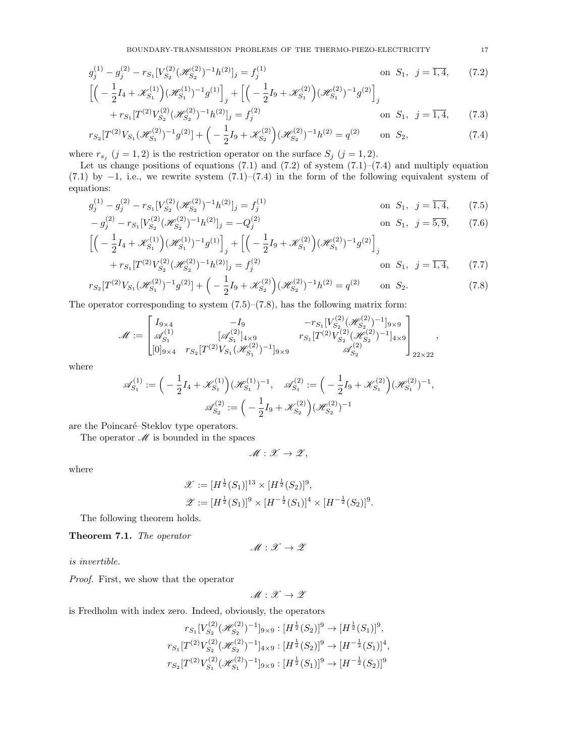$$
g_j^{(1)} - g_j^{(2)} - r_{S_1} [V_{S_2}^{(2)} (\mathcal{H}_{S_2}^{(2)})^{-1} h^{(2)}]_j = f_j^{(1)} \qquad \text{on } S_1, \ j = \overline{1, 4}, \qquad (7.2)
$$

$$
\left[ \left( -\frac{1}{2} I_4 + \mathcal{K}_{S_1}^{(1)} \right) (\mathcal{H}_{S_1}^{(1)})^{-1} g^{(1)} \right]_j + \left[ \left( -\frac{1}{2} I_9 + \mathcal{K}_{S_1}^{(2)} \right) (\mathcal{H}_{S_1}^{(2)})^{-1} g^{(2)} \right]_j
$$

$$
+ r_{S_1} [T^{(2)} V_{S_2}^{(2)} (\mathcal{H}_{S_2}^{(2)})^{-1} h^{(2)}]_j = f_j^{(2)} \qquad \text{on } S_1, \ j = \overline{1, 4}, \qquad (7.3)
$$

$$
r_{S_2}[T^{(2)}V_{S_1}(\mathcal{H}_{S_1}^{(2)})^{-1}g^{(2)}] + \left(-\frac{1}{2}I_9 + \mathcal{K}_{S_2}^{(2)}\right)(\mathcal{H}_{S_2}^{(2)})^{-1}h^{(2)} = q^{(2)} \qquad \text{on } S_2,\tag{7.4}
$$

where  $r_{s_j}$   $(j = 1, 2)$  is the restriction operator on the surface  $S_j$   $(j = 1, 2)$ .

Let us change positions of equations  $(7.1)$  and  $(7.2)$  of system  $(7.1)–(7.4)$  and multiply equation  $(7.1)$  by  $-1$ , i.e., we rewrite system  $(7.1)$ – $(7.4)$  in the form of the following equivalent system of equations:

$$
g_j^{(1)} - g_j^{(2)} - r_{S_1} [V_{S_2}^{(2)} (\mathcal{H}_{S_2}^{(2)})^{-1} h^{(2)}]_j = f_j^{(1)}
$$
 on  $S_1$ ,  $j = \overline{1, 4}$ , (7.5)  
\n
$$
- g_j^{(2)} - r_{S_1} [V_{S_2}^{(2)} (\mathcal{H}_{S_2}^{(2)})^{-1} h^{(2)}]_j = -Q_j^{(2)}
$$
 on  $S_1$ ,  $j = \overline{5, 9}$  (7.6)

$$
-g_j^{(2)} - r_{S_1} [V_{S_2}^{(2)} (\mathcal{H}_{S_2}^{(2)})^{-1} h^{(2)}]_j = -Q_j^{(2)} \quad \text{on } S_1, \ j = \overline{5, 9}, \qquad (7.6)
$$
  

$$
\left[ \left( -\frac{1}{2} I_4 + \mathcal{K}_{S_1}^{(1)} \right) (\mathcal{H}_{S_1}^{(1)})^{-1} g^{(1)} \right]_j + \left[ \left( -\frac{1}{2} I_9 + \mathcal{K}_{S_1}^{(2)} \right) (\mathcal{H}_{S_1}^{(2)})^{-1} g^{(2)} \right]_j
$$
  

$$
+ r_{S_1} [T^{(2)} V_{S_2}^{(2)} (\mathcal{H}_{S_2}^{(2)})^{-1} h^{(2)}]_j = f_j^{(2)} \quad \text{on } S_1, \ j = \overline{1, 4}, \qquad (7.7)
$$

$$
r_{S_2}[T^{(2)}V_{S_1}(\mathcal{H}_{S_1}^{(2)})^{-1}g^{(2)}] + \left(-\frac{1}{2}I_9 + \mathcal{K}_{S_2}^{(2)}\right)(\mathcal{H}_{S_2}^{(2)})^{-1}h^{(2)} = q^{(2)} \qquad \text{on } S_2.
$$
 (7.8)

The operator corresponding to system  $(7.5)$ – $(7.8)$ , has the following matrix form:

$$
\label{eq:matrixM} \mathcal{M}:=\begin{bmatrix}I_{9\times 4} & -I_9 & -r_{S_1}[V^{(2)}_{S_2}(\mathscr{H}^{(2)}_{S_2})^{-1}]_{9\times 9}\\ \mathscr{A}^{(1)}_{S_1} & [\mathscr{A}^{(2)}_{S_1}]_{4\times 9} & r_{S_1}[T^{(2)}V^{(2)}_{S_2}(\mathscr{H}^{(2)}_{S_2})^{-1}]_{4\times 9}\\ [0]_{9\times 4} & r_{S_2}[T^{(2)}V_{S_1}(\mathscr{H}^{(2)}_{S_1})^{-1}]_{9\times 9} & \mathscr{A}^{(2)}_{S_2} \end{bmatrix}_{22\times 22},
$$

where

$$
\mathscr{A}_{S_1}^{(1)} := \left( -\frac{1}{2} I_4 + \mathscr{K}_{S_1}^{(1)} \right) (\mathscr{H}_{S_1}^{(1)})^{-1}, \quad \mathscr{A}_{S_1}^{(2)} := \left( -\frac{1}{2} I_9 + \mathscr{K}_{S_1}^{(2)} \right) (\mathscr{H}_{S_1}^{(2)})^{-1},
$$

$$
\mathscr{A}_{S_2}^{(2)} := \left( -\frac{1}{2} I_9 + \mathscr{K}_{S_2}^{(2)} \right) (\mathscr{H}_{S_2}^{(2)})^{-1}
$$

are the Poincaré–Steklov type operators.

The operator  $\mathcal M$  is bounded in the spaces

 $M : \mathcal{X} \to \mathcal{Z}$ ,

where

$$
\mathscr{X} := [H^{\frac{1}{2}}(S_1)]^{13} \times [H^{\frac{1}{2}}(S_2)]^9,
$$
  

$$
\mathscr{Z} := [H^{\frac{1}{2}}(S_1)]^9 \times [H^{-\frac{1}{2}}(S_1)]^4 \times [H^{-\frac{1}{2}}(S_2)]^9.
$$

The following theorem holds.

Theorem 7.1. The operator

$$
\mathscr{M}:\mathscr{X}\to\mathscr{Z}
$$

is invertible.

Proof. First, we show that the operator

$$
\mathscr{M}:\mathscr{X}\to\mathscr{Z}
$$

is Fredholm with index zero. Indeed, obviously, the operators

$$
r_{S_1}[V_{S_2}^{(2)}(\mathcal{H}_{S_2}^{(2)})^{-1}]_{9\times 9}: [H^{\frac{1}{2}}(S_2)]^9 \to [H^{\frac{1}{2}}(S_1)]^9,
$$
  
\n
$$
r_{S_1}[T^{(2)}V_{S_2}^{(2)}(\mathcal{H}_{S_2}^{(2)})^{-1}]_{4\times 9}: [H^{\frac{1}{2}}(S_2)]^9 \to [H^{-\frac{1}{2}}(S_1)]^4,
$$
  
\n
$$
r_{S_2}[T^{(2)}V_{S_1}^{(2)}(\mathcal{H}_{S_1}^{(2)})^{-1}]_{9\times 9}: [H^{\frac{1}{2}}(S_1)]^9 \to [H^{-\frac{1}{2}}(S_2)]^9
$$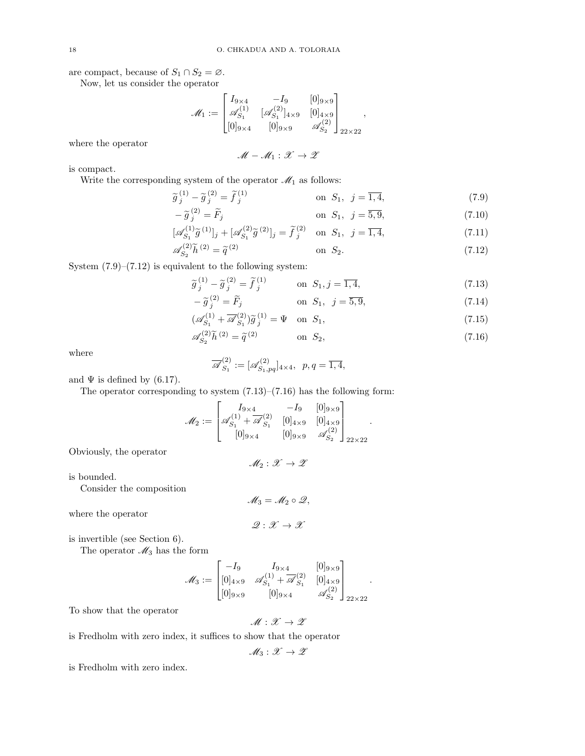are compact, because of  $S_1 \cap S_2 = \emptyset$ .

Now, let us consider the operator

$$
\mathcal{M}_1 := \begin{bmatrix} I_{9 \times 4} & -I_9 & [0]_{9 \times 9} \\ \mathcal{A}_{S_1}^{(1)} & [\mathcal{A}_{S_1}^{(2)}]_{4 \times 9} & [0]_{4 \times 9} \\ [0]_{9 \times 4} & [0]_{9 \times 9} & \mathcal{A}_{S_2}^{(2)} \end{bmatrix}_{22 \times 22},
$$

where the operator

 $M - M_1 : \mathcal{X} \to \mathcal{Z}$ 

is compact.

Write the corresponding system of the operator  $\mathcal{M}_1$  as follows:

$$
\widetilde{g}_j^{(1)} - \widetilde{g}_j^{(2)} = \widetilde{f}_j^{(1)} \qquad \text{on } S_1, \ j = \overline{1, 4}, \tag{7.9}
$$

$$
-\widetilde{g}_j^{(2)} = \widetilde{F}_j \qquad \text{on } S_1, \ \ j = \overline{5, 9}, \tag{7.10}
$$

$$
[\mathscr{A}_{S_1}^{(1)}\tilde{g}^{(1)}]_j + [\mathscr{A}_{S_1}^{(2)}\tilde{g}^{(2)}]_j = \tilde{f}_j^{(2)} \text{ on } S_1, j = \overline{1,4},
$$
\n(7.11)

$$
\mathscr{A}_{S_2}^{(2)} \tilde{h}^{(2)} = \tilde{q}^{(2)} \qquad \text{on } S_2. \tag{7.12}
$$

System  $(7.9)$ – $(7.12)$  is equivalent to the following system:

$$
\widetilde{g}_j^{(1)} - \widetilde{g}_j^{(2)} = \widetilde{f}_j^{(1)} \qquad \text{on } S_1, j = \overline{1, 4}, \tag{7.13}
$$

$$
-\tilde{g}_j^{(2)} = F_j \qquad \text{on } S_1, \ \ j = \overline{5, 9}, \tag{7.14}
$$

$$
\left(\mathscr{A}_{S_1}^{(1)} + \overline{\mathscr{A}}_{S_1}^{(2)}\right)\widetilde{g}_j^{(1)} = \Psi \quad \text{on } S_1,\tag{7.15}
$$

$$
\mathscr{A}_{S_2}^{(2)}\tilde{h}^{(2)} = \tilde{q}^{(2)} \qquad \text{on } S_2,\tag{7.16}
$$

.

where

$$
\overline{\mathscr{A}}_{S_1}^{(2)} := [\mathscr{A}_{S_1,pq}^{(2)}]_{4\times 4}, \ \ p,q = \overline{1,4},
$$

and  $\Psi$  is defined by (6.17).

The operator corresponding to system  $(7.13)$ – $(7.16)$  has the following form:

$$
\mathcal{M}_2 := \begin{bmatrix} I_{9 \times 4} & -I_9 & [0]_{9 \times 9} \\ \mathcal{A}_{S_1}^{(1)} + \overline{\mathcal{A}}_{S_1}^{(2)} & [0]_{4 \times 9} & [0]_{4 \times 9} \\ [0]_{9 \times 4} & [0]_{9 \times 9} & \mathcal{A}_{S_2}^{(2)} \end{bmatrix}_{22 \times 22}
$$

Obviously, the operator

 $M_2 : \mathcal{X} \to \mathcal{Z}$ 

is bounded.

Consider the composition

 $M_3 = M_2 \circ \mathcal{Q},$ 

 $\mathscr{Q} : \mathscr{X} \to \mathscr{X}$ 

where the operator

is invertible (see Section 6).

The operator  $\mathcal{M}_3$  has the form

$$
\mathcal{M}_3 := \begin{bmatrix} -I_9 & I_{9 \times 4} & [0]_{9 \times 9} \\ [0]_{4 \times 9} & \mathscr{A}_{S_1}^{(1)} + \overline{\mathscr{A}}_{S_1}^{(2)} & [0]_{4 \times 9} \\ [0]_{9 \times 9} & [0]_{9 \times 4} & \mathscr{A}_{S_2}^{(2)} \end{bmatrix}_{22 \times 22}.
$$

To show that the operator

$$
\mathscr{M}:\mathscr{X}\to\mathscr{Z}
$$

is Fredholm with zero index, it suffices to show that the operator

$$
\mathscr{M}_3:\mathscr{X}\to\mathscr{Z}
$$

is Fredholm with zero index.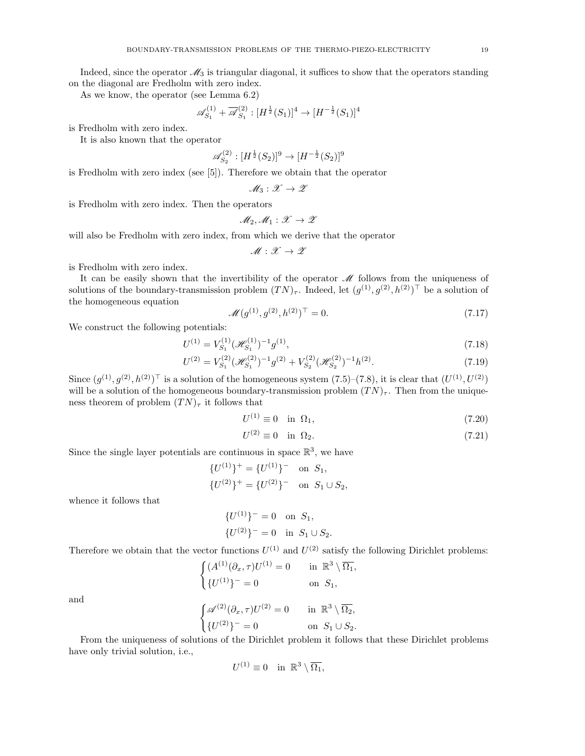Indeed, since the operator  $\mathcal{M}_3$  is triangular diagonal, it suffices to show that the operators standing on the diagonal are Fredholm with zero index.

As we know, the operator (see Lemma 6.2)

$$
\mathscr{A}_{S_1}^{(1)} + \overline{\mathscr{A}}_{S_1}^{(2)} : [H^{\frac{1}{2}}(S_1)]^4 \to [H^{-\frac{1}{2}}(S_1)]^4
$$

is Fredholm with zero index.

It is also known that the operator

$$
\mathscr{A}_{S_2}^{(2)} : [H^{\frac{1}{2}}(S_2)]^9 \to [H^{-\frac{1}{2}}(S_2)]^9
$$

is Fredholm with zero index (see [5]). Therefore we obtain that the operator

$$
\mathscr{M}_3:\mathscr{X}\to\mathscr{Z}
$$

is Fredholm with zero index. Then the operators

$$
\mathcal{M}_2, \mathcal{M}_1: \mathcal{X} \to \mathcal{Z}
$$

will also be Fredholm with zero index, from which we derive that the operator

 $\mathscr N$ 

$$
\mathscr{M}:\mathscr{X}\to\mathscr{Z}
$$

is Fredholm with zero index.

It can be easily shown that the invertibility of the operator  $\mathcal M$  follows from the uniqueness of solutions of the boundary-transmission problem  $(TN)_{\tau}$ . Indeed, let  $(g^{(1)}, g^{(2)}, h^{(2)})^{\top}$  be a solution of the homogeneous equation

$$
\mathscr{U}(g^{(1)}, g^{(2)}, h^{(2)})^{\top} = 0. \tag{7.17}
$$

We construct the following potentials:

$$
U^{(1)} = V_{S_1}^{(1)} (\mathcal{H}_{S_1}^{(1)})^{-1} g^{(1)},\tag{7.18}
$$

$$
U^{(2)} = V_{S_1}^{(2)} (\mathcal{H}_{S_1}^{(2)})^{-1} g^{(2)} + V_{S_2}^{(2)} (\mathcal{H}_{S_2}^{(2)})^{-1} h^{(2)}.
$$
\n(7.19)

Since  $(g^{(1)}, g^{(2)}, h^{(2)})^{\top}$  is a solution of the homogeneous system  $(7.5)$ – $(7.8)$ , it is clear that  $(U^{(1)}, U^{(2)})$ will be a solution of the homogeneous boundary-transmission problem  $(TN)_{\tau}$ . Then from the uniqueness theorem of problem  $(TN)_{\tau}$  it follows that

$$
U^{(1)} \equiv 0 \quad \text{in} \ \Omega_1,\tag{7.20}
$$

$$
U^{(2)} \equiv 0 \quad \text{in} \ \Omega_2. \tag{7.21}
$$

Since the single layer potentials are continuous in space  $\mathbb{R}^3$ , we have

$$
{U^{(1)}}+ = {U^{(1)}}- on S1,{U^{(2)}}+ = {U^{(2)}}- on S1 \cup S2,
$$

whence it follows that

$$
\{U^{(1)}\}^- = 0 \text{ on } S_1,
$$
  

$$
\{U^{(2)}\}^- = 0 \text{ in } S_1 \cup S_2.
$$

Therefore we obtain that the vector functions  $U^{(1)}$  and  $U^{(2)}$  satisfy the following Dirichlet problems:

 $\int (A^{(1)}(\partial_x, \tau)U^{(1)} = 0$  in  $\mathbb{R}^3 \setminus \overline{\Omega_1},$  ${U^{(1)}}^- = 0$  on  $S_1$ ,  $\int \mathscr{A}^{(2)}(\partial_x, \tau) U^{(2)} = 0$  in  $\mathbb{R}^3 \setminus \overline{\Omega_2}$ ,  ${U^{(2)}}^- = 0$  on  $S_1 \cup S_2$ .

and

From the uniqueness of solutions of the Dirichlet problem it follows that these Dirichlet problems have only trivial solution, i.e.,

$$
U^{(1)} \equiv 0 \quad \text{in } \ \mathbb{R}^3 \setminus \overline{\Omega_1},
$$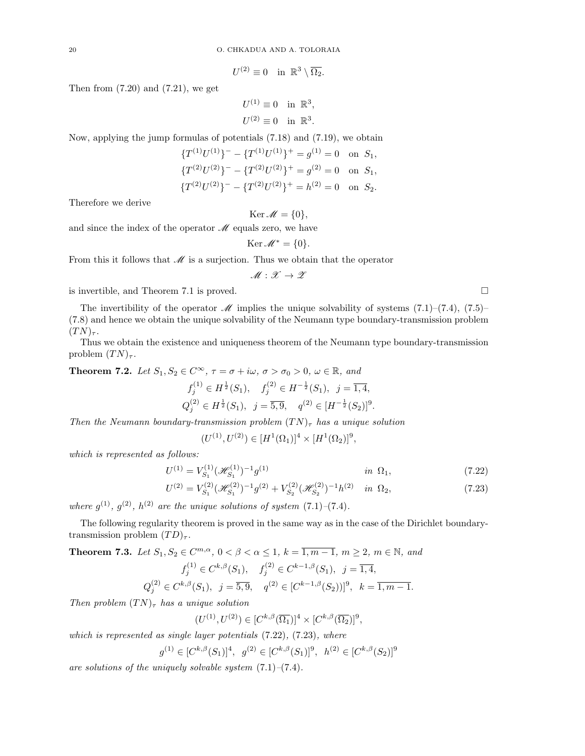$$
U^{(2)} \equiv 0 \quad \text{in } \ \mathbb{R}^3 \setminus \overline{\Omega_2}.
$$

Then from  $(7.20)$  and  $(7.21)$ , we get

$$
U^{(1)} \equiv 0 \quad \text{in } \mathbb{R}^3,
$$
  

$$
U^{(2)} \equiv 0 \quad \text{in } \mathbb{R}^3.
$$

Now, applying the jump formulas of potentials (7.18) and (7.19), we obtain

$$
\{T^{(1)}U^{(1)}\}^- - \{T^{(1)}U^{(1)}\}^+ = g^{(1)} = 0 \text{ on } S_1,
$$
  

$$
\{T^{(2)}U^{(2)}\}^- - \{T^{(2)}U^{(2)}\}^+ = g^{(2)} = 0 \text{ on } S_1,
$$
  

$$
\{T^{(2)}U^{(2)}\}^- - \{T^{(2)}U^{(2)}\}^+ = h^{(2)} = 0 \text{ on } S_2.
$$

Therefore we derive

Ker  $\mathscr{M} = \{0\},\,$ 

and since the index of the operator  $\mathcal M$  equals zero, we have

$$
\operatorname{Ker} \mathscr{M}^* = \{0\}.
$$

From this it follows that  $\mathcal M$  is a surjection. Thus we obtain that the operator

$$
\mathscr{M}:\mathscr{X}\to\mathscr{Z}
$$

is invertible, and Theorem 7.1 is proved.

The invertibility of the operator M implies the unique solvability of systems  $(7.1)$ – $(7.4)$ ,  $(7.5)$ – (7.8) and hence we obtain the unique solvability of the Neumann type boundary-transmission problem  $(TN)_{\tau}$ .

Thus we obtain the existence and uniqueness theorem of the Neumann type boundary-transmission problem  $(TN)_{\tau}$ .

**Theorem 7.2.** Let  $S_1, S_2 \in C^{\infty}$ ,  $\tau = \sigma + i\omega$ ,  $\sigma > \sigma_0 > 0$ ,  $\omega \in \mathbb{R}$ , and

$$
f_j^{(1)} \in H^{\frac{1}{2}}(S_1), \quad f_j^{(2)} \in H^{-\frac{1}{2}}(S_1), \quad j = \overline{1, 4},
$$
  

$$
Q_j^{(2)} \in H^{\frac{1}{2}}(S_1), \quad j = \overline{5, 9}, \quad q^{(2)} \in [H^{-\frac{1}{2}}(S_2)]^9.
$$

Then the Neumann boundary-transmission problem  $(TN)_{\tau}$  has a unique solution

$$
(U^{(1)}, U^{(2)}) \in [H^1(\Omega_1)]^4 \times [H^1(\Omega_2)]^9,
$$

which is represented as follows:

$$
U^{(1)} = V_{S_1}^{(1)} (\mathcal{H}_{S_1}^{(1)})^{-1} g^{(1)} \qquad \qquad \text{in } \Omega_1,\tag{7.22}
$$

$$
U^{(2)} = V_{S_1}^{(2)} (\mathcal{H}_{S_1}^{(2)})^{-1} g^{(2)} + V_{S_2}^{(2)} (\mathcal{H}_{S_2}^{(2)})^{-1} h^{(2)} \quad \text{in } \Omega_2,\tag{7.23}
$$

where  $g^{(1)}$ ,  $g^{(2)}$ ,  $h^{(2)}$  are the unique solutions of system  $(7.1)$ - $(7.4)$ .

The following regularity theorem is proved in the same way as in the case of the Dirichlet boundarytransmission problem  $(TD)_{\tau}$ .

**Theorem 7.3.** Let 
$$
S_1, S_2 \in C^{m,\alpha}, 0 < \beta < \alpha \le 1
$$
,  $k = \overline{1, m-1}, m \ge 2, m \in \mathbb{N}$ , and  
\n
$$
f_j^{(1)} \in C^{k,\beta}(S_1), \quad f_j^{(2)} \in C^{k-1,\beta}(S_1), j = \overline{1, 4},
$$
\n
$$
Q_j^{(2)} \in C^{k,\beta}(S_1), j = \overline{5, 9}, q^{(2)} \in [C^{k-1,\beta}(S_2))]^9, k = \overline{1, m-1}.
$$

Then problem  $(TN)_{\tau}$  has a unique solution

$$
(U^{(1)},U^{(2)}) \in [C^{k,\beta}(\overline{\Omega_1})]^4 \times [C^{k,\beta}(\overline{\Omega_2})]^9,
$$

which is represented as single layer potentials  $(7.22)$ ,  $(7.23)$ , where

$$
g^{(1)} \in [C^{k,\beta}(S_1)]^4
$$
,  $g^{(2)} \in [C^{k,\beta}(S_1)]^9$ ,  $h^{(2)} \in [C^{k,\beta}(S_2)]^9$ 

are solutions of the uniquely solvable system  $(7.1)$ – $(7.4)$ .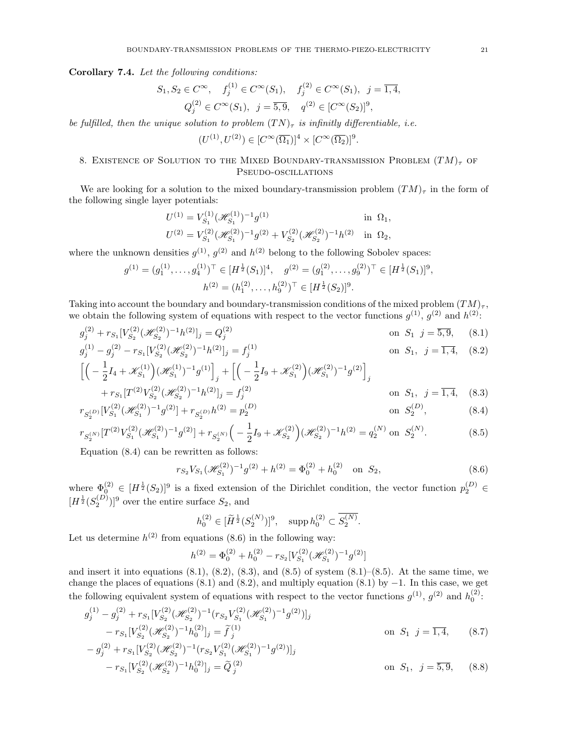#### Corollary 7.4. Let the following conditions:

$$
S_1, S_2 \in C^{\infty},
$$
  $f_j^{(1)} \in C^{\infty}(S_1),$   $f_j^{(2)} \in C^{\infty}(S_1),$   $j = \overline{1, 4},$   
 $Q_j^{(2)} \in C^{\infty}(S_1),$   $j = \overline{5, 9},$   $q^{(2)} \in [C^{\infty}(S_2)]^9,$ 

be fulfilled, then the unique solution to problem  $(TN)_{\tau}$  is infinitly differentiable, i.e.

$$
(U^{(1)}, U^{(2)}) \in [C^{\infty}(\overline{\Omega_1})]^4 \times [C^{\infty}(\overline{\Omega_2})]^9.
$$

### 8. EXISTENCE OF SOLUTION TO THE MIXED BOUNDARY-TRANSMISSION PROBLEM  $(TM)_{\tau}$  of Pseudo-oscillations

We are looking for a solution to the mixed boundary-transmission problem  $(TM)_{\tau}$  in the form of the following single layer potentials:

$$
U^{(1)} = V_{S_1}^{(1)} (\mathcal{H}_{S_1}^{(1)})^{-1} g^{(1)} \n\text{in } \Omega_1,
$$
  
\n
$$
U^{(2)} = V_{S_1}^{(2)} (\mathcal{H}_{S_1}^{(2)})^{-1} g^{(2)} + V_{S_2}^{(2)} (\mathcal{H}_{S_2}^{(2)})^{-1} h^{(2)} \n\text{in } \Omega_2,
$$

where the unknown densities  $g^{(1)}$ ,  $g^{(2)}$  and  $h^{(2)}$  belong to the following Sobolev spaces:

$$
g^{(1)} = (g_1^{(1)}, \dots, g_4^{(1)})^\top \in [H^{\frac{1}{2}}(S_1)]^4, \quad g^{(2)} = (g_1^{(2)}, \dots, g_9^{(2)})^\top \in [H^{\frac{1}{2}}(S_1)]^9,
$$

$$
h^{(2)} = (h_1^{(2)}, \dots, h_9^{(2)})^\top \in [H^{\frac{1}{2}}(S_2)]^9.
$$

Taking into account the boundary and boundary-transmission conditions of the mixed problem  $(TM)_{\tau}$ , we obtain the following system of equations with respect to the vector functions  $g^{(1)}$ ,  $g^{(2)}$  and  $h^{(2)}$ :

$$
g_j^{(2)} + r_{S_1} [V_{S_2}^{(2)} (\mathcal{H}_{S_2}^{(2)})^{-1} h^{(2)}]_j = Q_j^{(2)}
$$
 on  $S_1$   $j = \overline{5, 9}$ , (8.1)  
\n
$$
g_j^{(1)} = \overline{5, 9}
$$
 on  $S_1$   $j = \overline{5, 9}$ , (8.1)

$$
g_j^{(1)} - g_j^{(2)} - r_{S_1} [V_{S_2}^{(2)} (\mathcal{H}_{S_2}^{(2)})^{-1} h^{(2)}]_j = f_j^{(1)} \qquad \text{on } S_1, \ j = \overline{1, 4}, \quad (8.2)
$$

$$
\left[ \left( -\frac{1}{2} I_4 + \mathcal{K}_{S_1}^{(1)} \right) (\mathcal{H}_{S_1}^{(1)})^{-1} g^{(1)} \right]_j + \left[ \left( -\frac{1}{2} I_9 + \mathcal{K}_{S_1}^{(2)} \right) (\mathcal{H}_{S_1}^{(2)})^{-1} g^{(2)} \right]_j
$$

+ 
$$
r_{S_1}[T^{(2)}V_{S_2}^{(2)}(\mathcal{H}_{S_2}^{(2)})^{-1}h^{(2)}]_j = f_j^{(2)}
$$
 on  $S_1$ ,  $j = \overline{1, 4}$ , (8.3)

$$
r_{S_2^{(D)}}[V_{S_1}^{(2)}(\mathcal{H}_{S_1}^{(2)})^{-1}g^{(2)}] + r_{S_2^{(D)}}h^{(2)} = p_2^{(D)}
$$
 on  $S_2^{(D)}$ , (8.4)

$$
r_{S_2^{(N)}}[T^{(2)}V_{S_1}^{(2)}(\mathcal{H}_{S_1}^{(2)})^{-1}g^{(2)}] + r_{S_2^{(N)}}\Big(-\frac{1}{2}I_9 + \mathcal{K}_{S_2}^{(2)}\Big)(\mathcal{H}_{S_2}^{(2)})^{-1}h^{(2)} = q_2^{(N)} \text{ on } S_2^{(N)}.
$$
\n
$$
(8.5)
$$

Equation (8.4) can be rewritten as follows:

$$
r_{S_2} V_{S_1} (\mathcal{H}_{S_1}^{(2)})^{-1} g^{(2)} + h^{(2)} = \Phi_0^{(2)} + h_0^{(2)} \quad \text{on } S_2,
$$
\n(8.6)

where  $\Phi_{\geq 0}^{(2)} \in [H^{\frac{1}{2}}(S_2)]^9$  is a fixed extension of the Dirichlet condition, the vector function  $p_2^{(D)} \in$  $[H^{\frac{1}{2}}(S_2^{(D)})]^9$  over the entire surface  $S_2$ , and

$$
h_0^{(2)} \in [\widetilde{H}^{\frac{1}{2}}(S_2^{(N)})]^9, \quad \text{supp } h_0^{(2)} \subset \overline{S_2^{(N)}}.
$$

Let us determine  $h^{(2)}$  from equations (8.6) in the following way:

$$
h^{(2)} = \Phi_0^{(2)} + h_0^{(2)} - r_{S_2} [V_{S_1}^{(2)} (\mathcal{H}_{S_1}^{(2)})^{-1} g^{(2)}]
$$

and insert it into equations  $(8.1)$ ,  $(8.2)$ ,  $(8.3)$ , and  $(8.5)$  of system  $(8.1)$ – $(8.5)$ . At the same time, we change the places of equations (8.1) and (8.2), and multiply equation (8.1) by  $-1$ . In this case, we get the following equivalent system of equations with respect to the vector functions  $g^{(1)}$ ,  $g^{(2)}$  and  $h_0^{(2)}$ :

$$
g_j^{(1)} - g_j^{(2)} + r_{S_1} [V_{S_2}^{(2)} (\mathcal{H}_{S_2}^{(2)})^{-1} (r_{S_2} V_{S_1}^{(2)} (\mathcal{H}_{S_1}^{(2)})^{-1} g^{(2)})]_j
$$
  
\n
$$
- r_{S_1} [V_{S_2}^{(2)} (\mathcal{H}_{S_2}^{(2)})^{-1} h_0^{(2)}]_j = \tilde{f}_j^{(1)}
$$
  
\n
$$
- g_j^{(2)} + r_{S_1} [V_{S_2}^{(2)} (\mathcal{H}_{S_2}^{(2)})^{-1} (r_{S_2} V_{S_1}^{(2)} (\mathcal{H}_{S_1}^{(2)})^{-1} g^{(2)})]_j
$$
  
\n
$$
- r_{S_1} [V_{S_2}^{(2)} (\mathcal{H}_{S_2}^{(2)})^{-1} h_0^{(2)}]_j = \tilde{Q}_j^{(2)}
$$
  
\non  $S_1, j = \overline{5, 9}, (8.8)$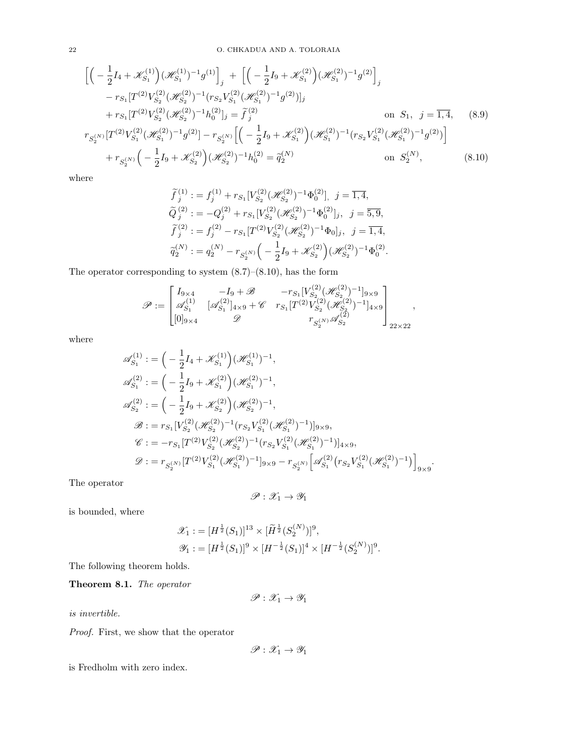$$
\begin{split}\n&\left[\left(-\frac{1}{2}I_4 + \mathcal{K}_{S_1}^{(1)}\right)(\mathcal{H}_{S_1}^{(1)})^{-1}g^{(1)}\right]_j + \left[\left(-\frac{1}{2}I_9 + \mathcal{K}_{S_1}^{(2)}\right)(\mathcal{H}_{S_1}^{(2)})^{-1}g^{(2)}\right]_j \\
&- r_{S_1}[T^{(2)}V_{S_2}^{(2)}(\mathcal{H}_{S_2}^{(2)})^{-1}(r_{S_2}V_{S_1}^{(2)}(\mathcal{H}_{S_1}^{(2)})^{-1}g^{(2)})]_j \\
&+ r_{S_1}[T^{(2)}V_{S_2}^{(2)}(\mathcal{H}_{S_2}^{(2)})^{-1}h_0^{(2)}]_j = \tilde{f}_j^{(2)} \qquad \text{on } S_1, \ j = \overline{1,4}, \quad (8.9) \\
r_{S_2^{(N)}}[T^{(2)}V_{S_1}^{(2)}(\mathcal{H}_{S_1}^{(2)})^{-1}g^{(2)}] - r_{S_2^{(N)}}\Big[\left(-\frac{1}{2}I_9 + \mathcal{K}_{S_1}^{(2)}\right)(\mathcal{H}_{S_1}^{(2)})^{-1}(r_{S_2}V_{S_1}^{(2)}(\mathcal{H}_{S_1}^{(2)})^{-1}g^{(2)})\Big] \\
&+ r_{S_2^{(N)}}\Big(-\frac{1}{2}I_9 + \mathcal{K}_{S_2}^{(2)}\Big)(\mathcal{H}_{S_2}^{(2)})^{-1}h_0^{(2)} = \tilde{q}_2^{(N)} \qquad \text{on } S_2^{(N)}, \quad (8.10)\n\end{split}
$$

where

$$
\begin{aligned}\n\widetilde{f}_j^{(1)} &:= f_j^{(1)} + r_{S_1} [V_{S_2}^{(2)}(\mathscr{H}_{S_2}^{(2)})^{-1} \Phi_0^{(2)}], \ j = \overline{1, 4}, \\
\widetilde{Q}_j^{(2)} &:= -Q_j^{(2)} + r_{S_1} [V_{S_2}^{(2)}(\mathscr{H}_{S_2}^{(2)})^{-1} \Phi_0^{(2)}]_j, \ j = \overline{5, 9}, \\
\widetilde{f}_j^{(2)} &:= f_j^{(2)} - r_{S_1} [T^{(2)} V_{S_2}^{(2)}(\mathscr{H}_{S_2}^{(2)})^{-1} \Phi_0]_j, \ j = \overline{1, 4}, \\
\widetilde{q}_2^{(N)} &:= q_2^{(N)} - r_{S_2^{(N)}} \Big( -\frac{1}{2} I_9 + \mathscr{K}_{S_2}^{(2)} \Big) (\mathscr{H}_{S_2}^{(2)})^{-1} \Phi_0^{(2)}.\n\end{aligned}
$$

The operator corresponding to system (8.7)–(8.10), has the form

$$
\mathscr{P}:=\begin{bmatrix}I_{9\times 4}& -I_9+\mathscr{B}& -r_{S_1}[V_{S_2}^{(2)}(\mathscr{H}_{S_2}^{(2)})^{-1}]_{9\times 9}\\ \mathscr{A}_{S_1}^{(1)}& [\mathscr{A}_{S_1}^{(2)}]_{4\times 9}+\mathscr{C}& r_{S_1}[T^{(2)}V_{S_2}^{(2)}(\mathscr{H}_{S_2}^{(2)})^{-1}]_{4\times 9}\\ [0]_{9\times 4}& \mathscr{D}& r_{S_2^{(N)}}\mathscr{A}_{S_2}^{(2)} \end{bmatrix}_{22\times 22},
$$

where

$$
\begin{split}\n\mathscr{A}_{S_1}^{(1)} &:= \Big(-\frac{1}{2}I_4 + \mathscr{K}_{S_1}^{(1)}\Big)(\mathscr{H}_{S_1}^{(1)})^{-1}, \\
\mathscr{A}_{S_1}^{(2)} &:= \Big(-\frac{1}{2}I_9 + \mathscr{K}_{S_1}^{(2)}\Big)(\mathscr{H}_{S_1}^{(2)})^{-1}, \\
\mathscr{A}_{S_2}^{(2)} &:= \Big(-\frac{1}{2}I_9 + \mathscr{K}_{S_2}^{(2)}\Big)(\mathscr{H}_{S_2}^{(2)})^{-1}, \\
\mathscr{B} &:= r_{S_1}[V_{S_2}^{(2)}(\mathscr{H}_{S_2}^{(2)})^{-1}(r_{S_2}V_{S_1}^{(2)}(\mathscr{H}_{S_1}^{(2)})^{-1})]_{9\times 9}, \\
\mathscr{C} &:= -r_{S_1}[T^{(2)}V_{S_2}^{(2)}(\mathscr{H}_{S_2}^{(2)})^{-1}(r_{S_2}V_{S_1}^{(2)}(\mathscr{H}_{S_1}^{(2)})^{-1})]_{4\times 9}, \\
\mathscr{D} &:= r_{S_2^{(N)}}[T^{(2)}V_{S_1}^{(2)}(\mathscr{H}_{S_1}^{(2)})^{-1}]_{9\times 9} - r_{S_2^{(N)}}\Big[\mathscr{A}_{S_1}^{(2)}(r_{S_2}V_{S_1}^{(2)}(\mathscr{H}_{S_1}^{(2)})^{-1})\Big]_{9\times 9}.\n\end{split}
$$

The operator

$$
\mathscr{P}:\mathscr{X}_1\to\mathscr{Y}_1
$$

is bounded, where

$$
\mathcal{X}_1 := [H^{\frac{1}{2}}(S_1)]^{13} \times [\widetilde{H}^{\frac{1}{2}}(S_2^{(N)})]^9,
$$
  

$$
\mathcal{Y}_1 := [H^{\frac{1}{2}}(S_1)]^9 \times [H^{-\frac{1}{2}}(S_1)]^4 \times [H^{-\frac{1}{2}}(S_2^{(N)})]^9.
$$

The following theorem holds.

Theorem 8.1. The operator

$$
\mathscr{P}:\mathscr{X}_1\to\mathscr{Y}_1
$$

is invertible.

Proof. First, we show that the operator

$$
\mathscr{P}:\mathscr{X}_1\to\mathscr{Y}_1
$$

is Fredholm with zero index.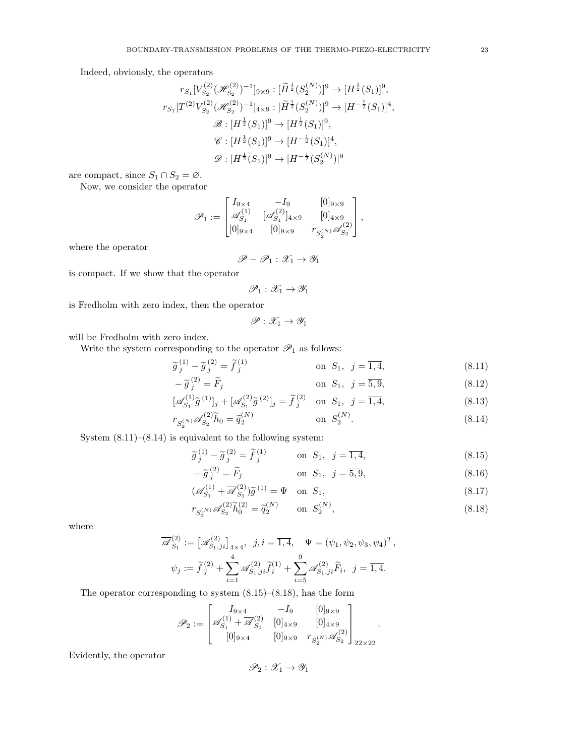Indeed, obviously, the operators

$$
r_{S_1}[V_{S_2}^{(2)}(\mathcal{H}_{S_2}^{(2)})^{-1}]_{9\times 9}: [\widetilde{H}^{\frac{1}{2}}(S_2^{(N)})]^9 \to [H^{\frac{1}{2}}(S_1)]^9,
$$
  
\n
$$
r_{S_1}[T^{(2)}V_{S_2}^{(2)}(\mathcal{H}_{S_2}^{(2)})^{-1}]_{4\times 9}: [\widetilde{H}^{\frac{1}{2}}(S_2^{(N)})]^9 \to [H^{-\frac{1}{2}}(S_1)]^4,
$$
  
\n
$$
\mathscr{B}: [H^{\frac{1}{2}}(S_1)]^9 \to [H^{\frac{1}{2}}(S_1)]^4,
$$
  
\n
$$
\mathscr{D}: [H^{\frac{1}{2}}(S_1)]^9 \to [H^{-\frac{1}{2}}(S_1)]^4,
$$
  
\n
$$
\mathscr{D}: [H^{\frac{1}{2}}(S_1)]^9 \to [H^{-\frac{1}{2}}(S_2^{(N)})]^9
$$

are compact, since  $S_1 \cap S_2 = \emptyset$ .

Now, we consider the operator

$$
\mathscr{P}_1 := \begin{bmatrix} I_{9 \times 4} & -I_9 & [0]_{9 \times 9} \\ \mathscr{A}_{S_1}^{(1)} & [\mathscr{A}_{S_1}^{(2)}]_{4 \times 9} & [0]_{4 \times 9} \\ [0]_{9 \times 4} & [0]_{9 \times 9} & r_{S_2^{(N)}} \mathscr{A}_{S_2}^{(2)} \end{bmatrix},
$$

where the operator

$$
\mathscr{P} - \mathscr{P}_1 : \mathscr{X}_1 \to \mathscr{Y}_1
$$

is compact. If we show that the operator

$$
\mathscr{P}_1:\mathscr{X}_1\to\mathscr{Y}_1
$$

is Fredholm with zero index, then the operator

$$
\mathscr{P}:\mathscr{X}_1\to\mathscr{Y}_1
$$

will be Fredholm with zero index.

Write the system corresponding to the operator  $\mathscr{P}_1$  as follows:

$$
\widetilde{g}_j^{(1)} - \widetilde{g}_j^{(2)} = \widetilde{f}_j^{(1)} \qquad \text{on } S_1, \ j = \overline{1, 4}, \tag{8.11}
$$
\n
$$
\widetilde{\approx}^{(2)} \widetilde{F} \qquad \text{on } S_1, \ j = \overline{1, 4}, \tag{8.12}
$$

$$
-\widetilde{g}_j^{(2)} = F_j \qquad \text{on } S_1, \ j = \overline{5, 9}, \tag{8.12}
$$

$$
[\mathscr{A}_{S_1}^{(1)}\tilde{g}^{(1)}]_j + [\mathscr{A}_{S_1}^{(2)}\tilde{g}^{(2)}]_j = \tilde{f}_j^{(2)} \text{ on } S_1, j = \overline{1, 4},
$$
\n(8.13)

$$
r_{S_2^{(N)}} \mathscr{A}_{S_2}^{(2)} \tilde{h}_0 = \tilde{q}_2^{(N)} \qquad \text{on } S_2^{(N)}.
$$
 (8.14)

System  $(8.11)$ – $(8.14)$  is equivalent to the following system:

$$
\widetilde{g}_j^{(1)} - \widetilde{g}_j^{(2)} = \widetilde{f}_j^{(1)} \qquad \text{on } S_1, \ j = \overline{1, 4}, \tag{8.15}
$$

$$
-\widetilde{g}_{j}^{(2)} = \widetilde{F}_{j} \qquad \text{on } S_{1}, \ j = \overline{5, 9}, \tag{8.16}
$$

$$
\left(\mathscr{A}_{S_1}^{(1)} + \overline{\mathscr{A}}_{S_1}^{(2)}\right)\widetilde{g}^{(1)} = \Psi \quad \text{on } S_1,\tag{8.17}
$$

$$
r_{S_2^{(N)}} \mathscr{A}_{S_2}^{(2)} \tilde{h}_0^{(2)} = \tilde{q}_2^{(N)} \qquad \text{on } S_2^{(N)},
$$
\n(8.18)

where

$$
\overline{\mathscr{A}}_{S_1}^{(2)} := \left[ \mathscr{A}_{S_1,ji}^{(2)} \right]_{4\times4}, \ j, i = \overline{1,4}, \quad \Psi = (\psi_1, \psi_2, \psi_3, \psi_4)^T,
$$

$$
\psi_j := \widetilde{f}_j^{(2)} + \sum_{i=1}^4 \mathscr{A}_{S_1,ji}^{(2)} \widetilde{f}_i^{(1)} + \sum_{i=5}^9 \mathscr{A}_{S_1,ji}^{(2)} \widetilde{F}_i, \ j = \overline{1,4}.
$$

The operator corresponding to system (8.15)–(8.18), has the form

$$
\mathscr{P}_2 := \begin{bmatrix} I_{9 \times 4} & -I_9 & [0]_{9 \times 9} \\ \mathscr{A}_{S_1}^{(1)} + \overline{\mathscr{A}}_{S_1}^{(2)} & [0]_{4 \times 9} & [0]_{4 \times 9} \\ [0]_{9 \times 4} & [0]_{9 \times 9} & r_{S_2^{(N)}} \mathscr{A}_{S_2}^{(2)} \end{bmatrix}_{22 \times 22}.
$$

Evidently, the operator

$$
\mathscr{P}_2:\mathscr{X}_1\to\mathscr{Y}_1
$$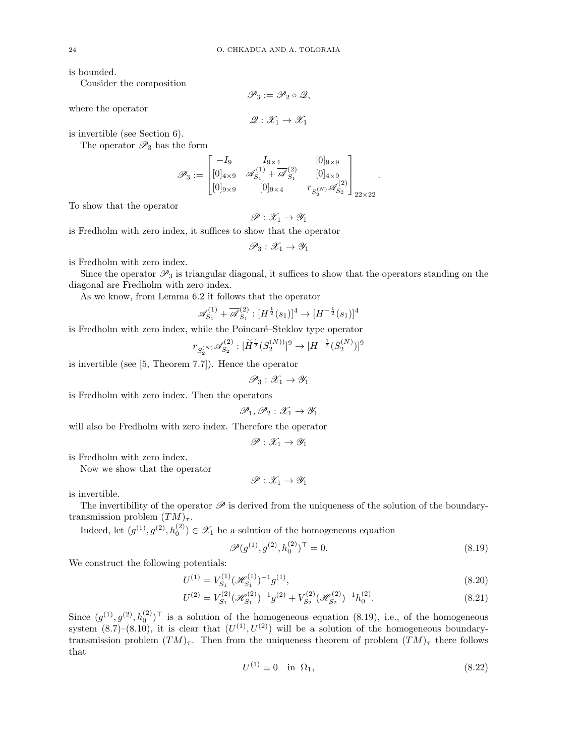is bounded.

Consider the composition

where the operator

$$
\mathscr{Q}:\mathscr{X}_1\to\mathscr{X}_1
$$

 $\mathscr{P}_3 := \mathscr{P}_2 \circ \mathscr{Q},$ 

is invertible (see Section 6).

The operator  $\mathscr{P}_3$  has the form

$$
\mathscr{P}_3:=\begin{bmatrix}-I_9&I_{9\times 4}&&[0]_{9\times 9}\\ [0]_{4\times 9}&\mathscr{A}^{(1)}_{S_1}+\overline{\mathscr{A}}^{(2)}_{S_1}&&[0]_{4\times 9}\\ [0]_{9\times 9}&&[0]_{9\times 4}&&r_{S^{(N)}_2}\mathscr{A}^{(2)}_{S_2}\end{bmatrix}_{22\times 22}.
$$

To show that the operator

$$
\mathscr{P}:\mathscr{X}_1\to\mathscr{Y}_1
$$

is Fredholm with zero index, it suffices to show that the operator

$$
\mathscr{P}_3 : \mathscr{X}_1 \to \mathscr{Y}_1
$$

is Fredholm with zero index.

Since the operator  $\mathscr{P}_3$  is triangular diagonal, it suffices to show that the operators standing on the diagonal are Fredholm with zero index.

As we know, from Lemma 6.2 it follows that the operator

$$
\mathscr{A}_{S_1}^{(1)} + \overline{\mathscr{A}}_{S_1}^{(2)} : [H^{\frac{1}{2}}(s_1)]^4 \to [H^{-\frac{1}{2}}(s_1)]^4
$$

is Fredholm with zero index, while the Poincaré–Steklov type operator

$$
r_{S_2^{(N)}} \mathscr{A}_{S_2}^{(2)} : [\widetilde{H}^{\frac{1}{2}} (S_2^{(N)})]^9 \to [H^{-\frac{1}{2}} (S_2^{(N)})]^9
$$

is invertible (see [5, Theorem 7.7]). Hence the operator

$$
\mathscr{P}_3 : \mathscr{X}_1 \to \mathscr{Y}_1
$$

is Fredholm with zero index. Then the operators

$$
\mathscr{P}_1,\mathscr{P}_2:\mathscr{X}_1\to\mathscr{Y}_1
$$

will also be Fredholm with zero index. Therefore the operator

$$
\mathscr{P} : \mathscr{X}_1 \to \mathscr{Y}_1
$$

is Fredholm with zero index.

Now we show that the operator

$$
\mathscr{P}:\mathscr{X}_1\to\mathscr{Y}_1
$$

is invertible.

The invertibility of the operator  $\mathscr P$  is derived from the uniqueness of the solution of the boundarytransmission problem  $(TM)_{\tau}$ .

Indeed, let  $(g^{(1)}, g^{(2)}, h_0^{(2)}) \in \mathcal{X}_1$  be a solution of the homogeneous equation

$$
\mathscr{P}(g^{(1)}, g^{(2)}, h_0^{(2)})^{\top} = 0.
$$
\n(8.19)

We construct the following potentials:

$$
U^{(1)} = V_{S_1}^{(1)} (\mathcal{H}_{S_1}^{(1)})^{-1} g^{(1)}, \tag{8.20}
$$

$$
U^{(2)} = V_{S_1}^{(2)} (\mathcal{H}_{S_1}^{(2)})^{-1} g^{(2)} + V_{S_2}^{(2)} (\mathcal{H}_{S_2}^{(2)})^{-1} h_0^{(2)}.
$$
 (8.21)

Since  $(g^{(1)}, g^{(2)}, h_0^{(2)})^{\top}$  is a solution of the homogeneous equation (8.19), i.e., of the homogeneous system  $(8.7)$ – $(8.10)$ , it is clear that  $(U<sup>(1)</sup>, U<sup>(2)</sup>)$  will be a solution of the homogeneous boundarytransmission problem  $(TM)_{\tau}$ . Then from the uniqueness theorem of problem  $(TM)_{\tau}$  there follows that

$$
U^{(1)} \equiv 0 \quad \text{in} \ \Omega_1,\tag{8.22}
$$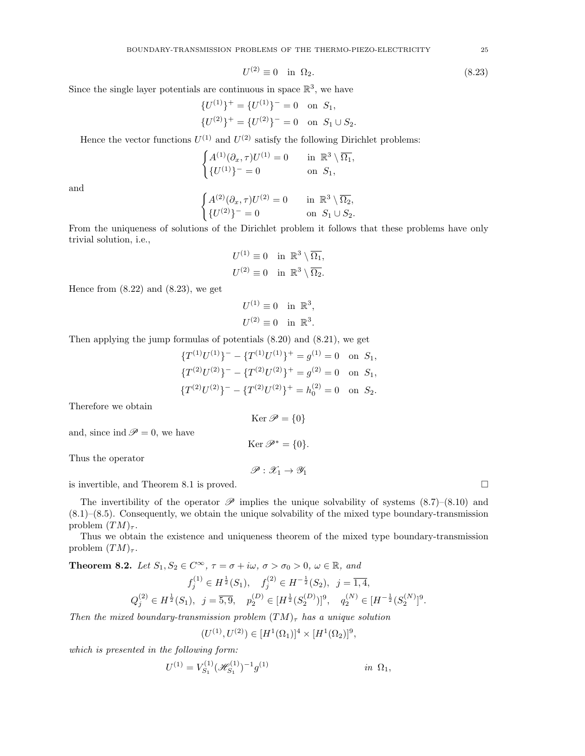$$
U^{(2)} \equiv 0 \quad \text{in} \ \Omega_2. \tag{8.23}
$$

Since the single layer potentials are continuous in space  $\mathbb{R}^3$ , we have

$$
{U^{(1)}}^+ = {U^{(1)}}^- = 0 \text{ on } S_1,
$$
  

$$
{U^{(2)}}^+ = {U^{(2)}}^- = 0 \text{ on } S_1 \cup S_2.
$$

Hence the vector functions  $U^{(1)}$  and  $U^{(2)}$  satisfy the following Dirichlet problems:

$$
\begin{cases} A^{(1)}(\partial_x, \tau)U^{(1)} = 0 & \text{in } \mathbb{R}^3 \setminus \overline{\Omega_1}, \\ \{U^{(1)}\}^- = 0 & \text{on } S_1, \end{cases}
$$

and

$$
\begin{cases} A^{(2)}(\partial_x, \tau)U^{(2)}=0 \quad &\text{in} \ \ \mathbb{R}^3\setminus\overline{\Omega_2}, \\ \{U^{(2)}\}^- = 0 \quad &\text{on} \ \ S_1\cup S_2. \end{cases}
$$

From the uniqueness of solutions of the Dirichlet problem it follows that these problems have only trivial solution, i.e.,

$$
U^{(1)} \equiv 0 \quad \text{in } \mathbb{R}^3 \setminus \overline{\Omega_1},
$$
  

$$
U^{(2)} \equiv 0 \quad \text{in } \mathbb{R}^3 \setminus \overline{\Omega_2}.
$$

Hence from  $(8.22)$  and  $(8.23)$ , we get

$$
U^{(1)} \equiv 0 \quad \text{in } \mathbb{R}^3,
$$
  

$$
U^{(2)} \equiv 0 \quad \text{in } \mathbb{R}^3.
$$

Then applying the jump formulas of potentials (8.20) and (8.21), we get

$$
\{T^{(1)}U^{(1)}\}^- - \{T^{(1)}U^{(1)}\}^+ = g^{(1)} = 0 \text{ on } S_1,
$$
  

$$
\{T^{(2)}U^{(2)}\}^- - \{T^{(2)}U^{(2)}\}^+ = g^{(2)} = 0 \text{ on } S_1,
$$
  

$$
\{T^{(2)}U^{(2)}\}^- - \{T^{(2)}U^{(2)}\}^+ = h_0^{(2)} = 0 \text{ on } S_2.
$$

Ker  $\mathscr{P} = \{0\}$ 

Ker  $\mathscr{P}^* = \{0\}.$ 

 $\mathscr{P}: \mathscr{X}_1 \to \mathscr{Y}_1$ 

Therefore we obtain

and, since ind  $\mathscr{P} = 0$ , we have

Thus the operator

is invertible, and Theorem 8.1 is proved.

The invertibility of the operator  $\mathscr P$  implies the unique solvability of systems  $(8.7)$ – $(8.10)$  and  $(8.1)$ – $(8.5)$ . Consequently, we obtain the unique solvability of the mixed type boundary-transmission problem  $(TM)_{\tau}$ .

Thus we obtain the existence and uniqueness theorem of the mixed type boundary-transmission problem  $(TM)_{\tau}$ .

**Theorem 8.2.** Let  $S_1, S_2 \in C^{\infty}$ ,  $\tau = \sigma + i\omega$ ,  $\sigma > \sigma_0 > 0$ ,  $\omega \in \mathbb{R}$ , and

$$
f_j^{(1)} \in H^{\frac{1}{2}}(S_1), \quad f_j^{(2)} \in H^{-\frac{1}{2}}(S_2), \quad j = \overline{1, 4},
$$
  

$$
Q_j^{(2)} \in H^{\frac{1}{2}}(S_1), \quad j = \overline{5, 9}, \quad p_2^{(D)} \in [H^{\frac{1}{2}}(S_2^{(D)})]^9, \quad q_2^{(N)} \in [H^{-\frac{1}{2}}(S_2^{(N)})]^9.
$$

Then the mixed boundary-transmission problem  $(TM)_{\tau}$  has a unique solution

$$
(U^{(1)}, U^{(2)}) \in [H^1(\Omega_1)]^4 \times [H^1(\Omega_2)]^9,
$$

which is presented in the following form:

$$
U^{(1)} = V_{S_1}^{(1)} (\mathscr{H}_{S_1}^{(1)})^{-1} g^{(1)} \qquad \qquad \text{in } \Omega_1,
$$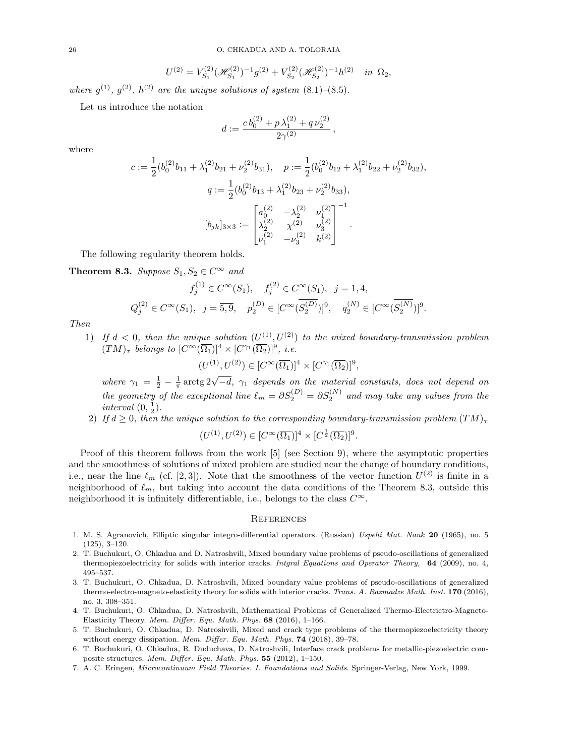$$
U^{(2)} = V_{S_1}^{(2)} (\mathcal{H}_{S_1}^{(2)})^{-1} g^{(2)} + V_{S_2}^{(2)} (\mathcal{H}_{S_2}^{(2)})^{-1} h^{(2)} \text{ in } \Omega_2,
$$

where  $g^{(1)}$ ,  $g^{(2)}$ ,  $h^{(2)}$  are the unique solutions of system  $(8.1)$ - $(8.5)$ .

Let us introduce the notation

$$
d := \frac{c b_0^{(2)} + p \lambda_1^{(2)} + q \nu_2^{(2)}}{2\gamma^{(2)}},
$$

where

$$
c := \frac{1}{2} (b_0^{(2)} b_{11} + \lambda_1^{(2)} b_{21} + \nu_2^{(2)} b_{31}), \quad p := \frac{1}{2} (b_0^{(2)} b_{12} + \lambda_1^{(2)} b_{22} + \nu_2^{(2)} b_{32}),
$$

$$
q := \frac{1}{2} (b_0^{(2)} b_{13} + \lambda_1^{(2)} b_{23} + \nu_2^{(2)} b_{33}),
$$

$$
[b_{jk}]_{3 \times 3} := \begin{bmatrix} a_0^{(2)} & -\lambda_2^{(2)} & \nu_1^{(2)} \\ \lambda_2^{(2)} & \chi^{(2)} & \nu_3^{(2)} \\ \nu_1^{(2)} & -\nu_3^{(2)} & k^{(2)} \end{bmatrix}^{-1}.
$$

The following regularity theorem holds.

**Theorem 8.3.** Suppose  $S_1, S_2 \in C^{\infty}$  and

$$
f_j^{(1)} \in C^{\infty}(S_1), \quad f_j^{(2)} \in C^{\infty}(S_1), \quad j = \overline{1, 4},
$$
  

$$
Q_j^{(2)} \in C^{\infty}(S_1), \quad j = \overline{5, 9}, \quad p_2^{(D)} \in [C^{\infty}(\overline{S_2^{(D)}})]^9, \quad q_2^{(N)} \in [C^{\infty}(\overline{S_2^{(N)}})]^9.
$$

Then

1) If  $d < 0$ , then the unique solution  $(U^{(1)}, U^{(2)})$  to the mixed boundary-transmission problem  $(TM)_{\tau}$  belongs to  $[C^{\infty}(\overline{\Omega_1})]^4 \times [C^{\gamma_1}(\overline{\Omega_2})]^9$ , i.e.

$$
(U^{(1)},U^{(2)})\in [C^\infty(\overline{\Omega_1})]^4\times [C^{\gamma_1}(\overline{\Omega_2})]^9,
$$

where  $\gamma_1 = \frac{1}{2} - \frac{1}{\pi} \arctg 2\sqrt{-d}$ ,  $\gamma_1$  depends on the material constants, does not depend on the geometry of the exceptional line  $\ell_m = \partial S_2^{(D)} = \partial S_2^{(N)}$  and may take any values from the interval  $(0, \frac{1}{2})$ .

2) If  $d \geq 0$ , then the unique solution to the corresponding boundary-transmission problem  $(TM)_{\tau}$ 

$$
(U^{(1)}, U^{(2)}) \in [C^{\infty}(\overline{\Omega_1})]^4 \times [C^{\frac{1}{2}}(\overline{\Omega_2})]^9.
$$

Proof of this theorem follows from the work [5] (see Section 9), where the asymptotic properties and the smoothness of solutions of mixed problem are studied near the change of boundary conditions, i.e., near the line  $\ell_m$  (cf. [2,3]). Note that the smoothness of the vector function  $U^{(2)}$  is finite in a neighborhood of  $\ell_m$ , but taking into account the data conditions of the Theorem 8.3, outside this neighborhood it is infinitely differentiable, i.e., belongs to the class  $C^{\infty}$ .

#### **REFERENCES**

- 1. M. S. Agranovich, Elliptic singular integro-differential operators. (Russian) Uspehi Mat. Nauk 20 (1965), no. 5 (125), 3–120.
- 2. T. Buchukuri, O. Chkadua and D. Natroshvili, Mixed boundary value problems of pseudo-oscillations of generalized thermopiezoelectricity for solids with interior cracks. Intgral Equations and Operator Theory, 64 (2009), no. 4, 495–537.
- 3. T. Buchukuri, O. Chkadua, D. Natroshvili, Mixed boundary value problems of pseudo-oscillations of generalized thermo-electro-magneto-elasticity theory for solids with interior cracks. Trans. A. Razmadze Math. Inst. 170 (2016), no. 3, 308–351.
- 4. T. Buchukuri, O. Chkadua, D. Natroshvili, Mathematical Problems of Generalized Thermo-Electrictro-Magneto-Elasticity Theory. Mem. Differ. Equ. Math. Phys.  $68$  (2016), 1-166.
- 5. T. Buchukuri, O. Chkadua, D. Natroshvili, Mixed and crack type problems of the thermopiezoelectricity theory without energy dissipation. Mem. Differ. Equ. Math. Phys. 74 (2018), 39-78.
- 6. T. Buchukuri, O. Chkadua, R. Duduchava, D. Natroshvili, Interface crack problems for metallic-piezoelectric composite structures. Mem. Differ. Equ. Math. Phys. 55 (2012), 1–150.
- 7. A. C. Eringen, Microcontinuum Field Theories. I. Foundations and Solids. Springer-Verlag, New York, 1999.